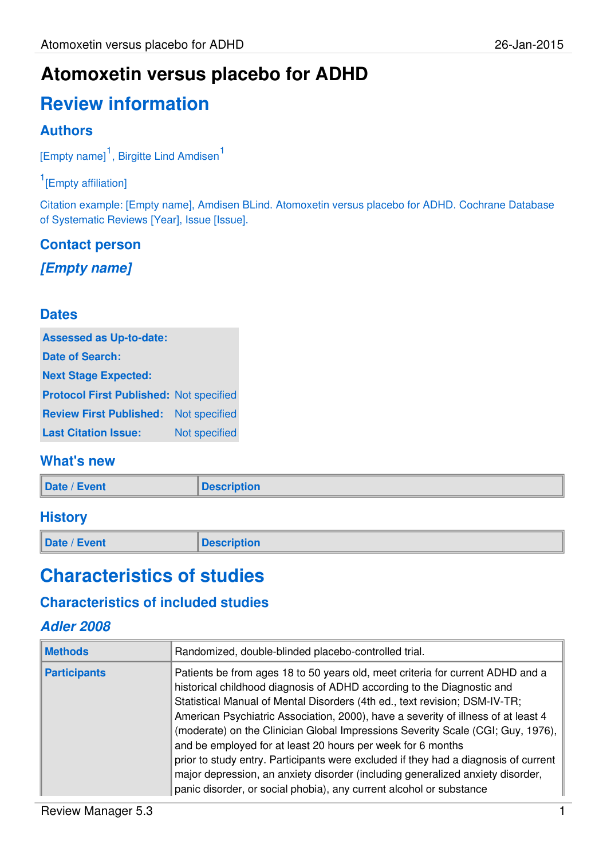### **Atomoxetin versus placebo for ADHD**

# **Review information**

#### **Authors**

[Empty name]<sup>1</sup>, Birgitte Lind Amdisen<sup>1</sup>

#### <sup>1</sup>[Empty affiliation]

Citation example: [Empty name], Amdisen BLind. Atomoxetin versus placebo for ADHD. Cochrane Database of Systematic Reviews [Year], Issue [Issue].

#### **Contact person [Empty name]**

#### **Dates**

| <b>Assessed as Up-to-date:</b>                 |               |
|------------------------------------------------|---------------|
| <b>Date of Search:</b>                         |               |
| <b>Next Stage Expected:</b>                    |               |
| <b>Protocol First Published: Not specified</b> |               |
| <b>Review First Published:</b>                 | Not specified |
| <b>Last Citation Issue:</b>                    | Not specified |

#### **What's new**

| Date / Event | <b>Description</b> |
|--------------|--------------------|
|              |                    |

#### **History**

**Date / Event Description** 

### **Characteristics of studies**

#### **Characteristics of included studies**

#### **Adler 2008**

| <b>Methods</b>      | Randomized, double-blinded placebo-controlled trial.                                                                                                                                                                                                                                                                                                                                                                                                                                                                                                                                                                                                                                                                          |
|---------------------|-------------------------------------------------------------------------------------------------------------------------------------------------------------------------------------------------------------------------------------------------------------------------------------------------------------------------------------------------------------------------------------------------------------------------------------------------------------------------------------------------------------------------------------------------------------------------------------------------------------------------------------------------------------------------------------------------------------------------------|
| <b>Participants</b> | Patients be from ages 18 to 50 years old, meet criteria for current ADHD and a<br>historical childhood diagnosis of ADHD according to the Diagnostic and<br>Statistical Manual of Mental Disorders (4th ed., text revision; DSM-IV-TR;<br>American Psychiatric Association, 2000), have a severity of illness of at least 4<br>(moderate) on the Clinician Global Impressions Severity Scale (CGI; Guy, 1976),<br>and be employed for at least 20 hours per week for 6 months<br>prior to study entry. Participants were excluded if they had a diagnosis of current<br>major depression, an anxiety disorder (including generalized anxiety disorder,<br>panic disorder, or social phobia), any current alcohol or substance |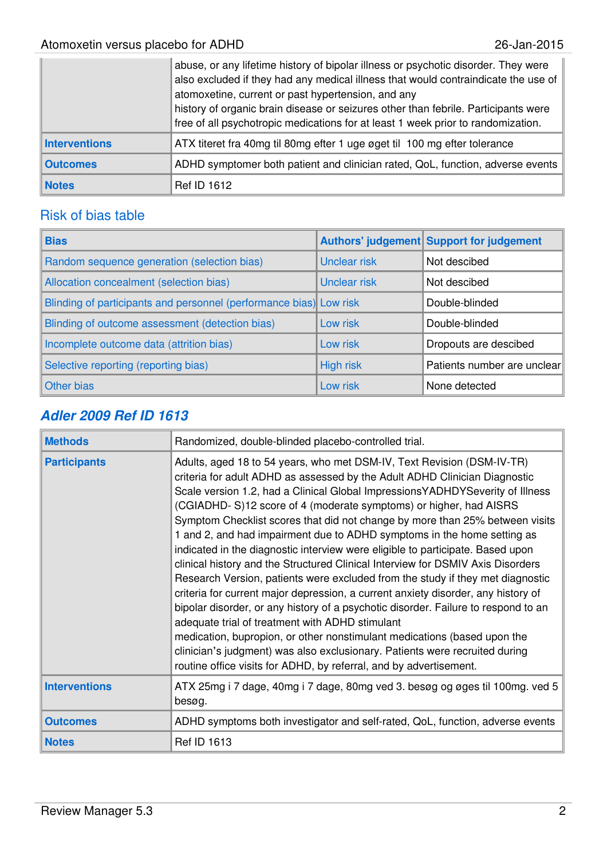|                      | abuse, or any lifetime history of bipolar illness or psychotic disorder. They were<br>also excluded if they had any medical illness that would contraindicate the use of<br>atomoxetine, current or past hypertension, and any<br>history of organic brain disease or seizures other than febrile. Participants were<br>free of all psychotropic medications for at least 1 week prior to randomization. |
|----------------------|----------------------------------------------------------------------------------------------------------------------------------------------------------------------------------------------------------------------------------------------------------------------------------------------------------------------------------------------------------------------------------------------------------|
| <b>Interventions</b> | ATX titeret fra 40mg til 80mg efter 1 uge øget til 100 mg efter tolerance                                                                                                                                                                                                                                                                                                                                |
| <b>Outcomes</b>      | ADHD symptomer both patient and clinician rated, QoL, function, adverse events                                                                                                                                                                                                                                                                                                                           |
| <b>Notes</b>         | <b>Ref ID 1612</b>                                                                                                                                                                                                                                                                                                                                                                                       |

#### Risk of bias table

| <b>Bias</b>                                                        |                     | Authors' judgement Support for judgement |
|--------------------------------------------------------------------|---------------------|------------------------------------------|
| Random sequence generation (selection bias)                        | <b>Unclear risk</b> | Not descibed                             |
| Allocation concealment (selection bias)                            | Unclear risk        | Not descibed                             |
| Blinding of participants and personnel (performance bias) Low risk |                     | Double-blinded                           |
| Blinding of outcome assessment (detection bias)                    | Low risk            | Double-blinded                           |
| Incomplete outcome data (attrition bias)                           | Low risk            | Dropouts are descibed                    |
| Selective reporting (reporting bias)                               | <b>High risk</b>    | Patients number are unclear              |
| Other bias                                                         | Low risk            | None detected                            |

#### **Adler 2009 Ref ID 1613**

| <b>Methods</b>       | Randomized, double-blinded placebo-controlled trial.                                                                                                                                                                                                                                                                                                                                                                                                                                                                                                                                                                                                                                                                                                                                                                                                                                                                                                                                                                                                                                                                                                                                        |  |  |
|----------------------|---------------------------------------------------------------------------------------------------------------------------------------------------------------------------------------------------------------------------------------------------------------------------------------------------------------------------------------------------------------------------------------------------------------------------------------------------------------------------------------------------------------------------------------------------------------------------------------------------------------------------------------------------------------------------------------------------------------------------------------------------------------------------------------------------------------------------------------------------------------------------------------------------------------------------------------------------------------------------------------------------------------------------------------------------------------------------------------------------------------------------------------------------------------------------------------------|--|--|
| <b>Participants</b>  | Adults, aged 18 to 54 years, who met DSM-IV, Text Revision (DSM-IV-TR)<br>criteria for adult ADHD as assessed by the Adult ADHD Clinician Diagnostic<br>Scale version 1.2, had a Clinical Global ImpressionsYADHDYSeverity of Illness<br>(CGIADHD-S)12 score of 4 (moderate symptoms) or higher, had AISRS<br>Symptom Checklist scores that did not change by more than 25% between visits<br>1 and 2, and had impairment due to ADHD symptoms in the home setting as<br>indicated in the diagnostic interview were eligible to participate. Based upon<br>clinical history and the Structured Clinical Interview for DSMIV Axis Disorders<br>Research Version, patients were excluded from the study if they met diagnostic<br>criteria for current major depression, a current anxiety disorder, any history of<br>bipolar disorder, or any history of a psychotic disorder. Failure to respond to an<br>adequate trial of treatment with ADHD stimulant<br>medication, bupropion, or other nonstimulant medications (based upon the<br>clinician's judgment) was also exclusionary. Patients were recruited during<br>routine office visits for ADHD, by referral, and by advertisement. |  |  |
| <b>Interventions</b> | ATX 25mg i 7 dage, 40mg i 7 dage, 80mg ved 3. besøg og øges til 100mg. ved 5<br>besøg.                                                                                                                                                                                                                                                                                                                                                                                                                                                                                                                                                                                                                                                                                                                                                                                                                                                                                                                                                                                                                                                                                                      |  |  |
| <b>Outcomes</b>      | ADHD symptoms both investigator and self-rated, QoL, function, adverse events                                                                                                                                                                                                                                                                                                                                                                                                                                                                                                                                                                                                                                                                                                                                                                                                                                                                                                                                                                                                                                                                                                               |  |  |
| <b>Notes</b>         | <b>Ref ID 1613</b>                                                                                                                                                                                                                                                                                                                                                                                                                                                                                                                                                                                                                                                                                                                                                                                                                                                                                                                                                                                                                                                                                                                                                                          |  |  |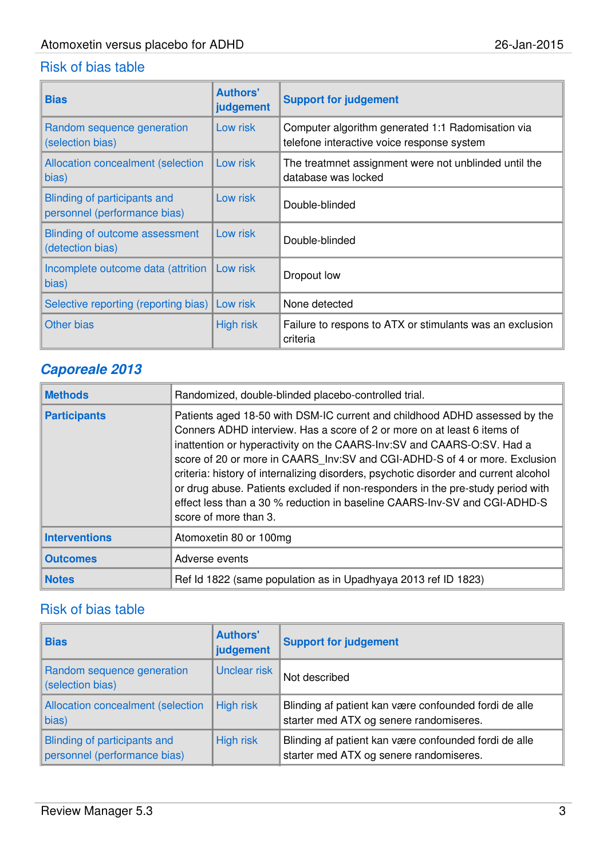#### Risk of bias table

| <b>Bias</b>                                                  | <b>Authors'</b><br>judgement | <b>Support for judgement</b>                                                                    |
|--------------------------------------------------------------|------------------------------|-------------------------------------------------------------------------------------------------|
| Random sequence generation<br>(selection bias)               | Low risk                     | Computer algorithm generated 1:1 Radomisation via<br>telefone interactive voice response system |
| <b>Allocation concealment (selection</b><br>bias)            | Low risk                     | The treatmnet assignment were not unblinded until the<br>database was locked                    |
| Blinding of participants and<br>personnel (performance bias) | Low risk                     | Double-blinded                                                                                  |
| Blinding of outcome assessment<br>(detection bias)           | Low risk                     | Double-blinded                                                                                  |
| Incomplete outcome data (attrition<br>bias)                  | Low risk                     | Dropout low                                                                                     |
| Selective reporting (reporting bias)                         | Low risk                     | None detected                                                                                   |
| Other bias                                                   | <b>High risk</b>             | Failure to respons to ATX or stimulants was an exclusion<br>criteria                            |

#### **Caporeale 2013**

| <b>Methods</b>       | Randomized, double-blinded placebo-controlled trial.                                                                                                                                                                                                                                                                                                                                                                                                                                                                                                                                            |
|----------------------|-------------------------------------------------------------------------------------------------------------------------------------------------------------------------------------------------------------------------------------------------------------------------------------------------------------------------------------------------------------------------------------------------------------------------------------------------------------------------------------------------------------------------------------------------------------------------------------------------|
| <b>Participants</b>  | Patients aged 18-50 with DSM-IC current and childhood ADHD assessed by the<br>Conners ADHD interview. Has a score of 2 or more on at least 6 items of<br>inattention or hyperactivity on the CAARS-Inv:SV and CAARS-O:SV. Had a<br>score of 20 or more in CAARS Inv: SV and CGI-ADHD-S of 4 or more. Exclusion<br>criteria: history of internalizing disorders, psychotic disorder and current alcohol<br>or drug abuse. Patients excluded if non-responders in the pre-study period with<br>effect less than a 30 % reduction in baseline CAARS-lnv-SV and CGI-ADHD-S<br>score of more than 3. |
| <b>Interventions</b> | Atomoxetin 80 or 100mg                                                                                                                                                                                                                                                                                                                                                                                                                                                                                                                                                                          |
| <b>Outcomes</b>      | Adverse events                                                                                                                                                                                                                                                                                                                                                                                                                                                                                                                                                                                  |
| <b>Notes</b>         | Ref Id 1822 (same population as in Upadhyaya 2013 ref ID 1823)                                                                                                                                                                                                                                                                                                                                                                                                                                                                                                                                  |

| <b>Bias</b>                                                         | <b>Authors'</b><br>judgement | <b>Support for judgement</b>                                                                     |
|---------------------------------------------------------------------|------------------------------|--------------------------------------------------------------------------------------------------|
| Random sequence generation<br>(selection bias)                      | Unclear risk                 | Not described                                                                                    |
| Allocation concealment (selection<br>bias)                          | <b>High risk</b>             | Blinding af patient kan være confounded fordi de alle<br>starter med ATX og senere randomiseres. |
| <b>Blinding of participants and</b><br>personnel (performance bias) | High risk                    | Blinding af patient kan være confounded fordi de alle<br>starter med ATX og senere randomiseres. |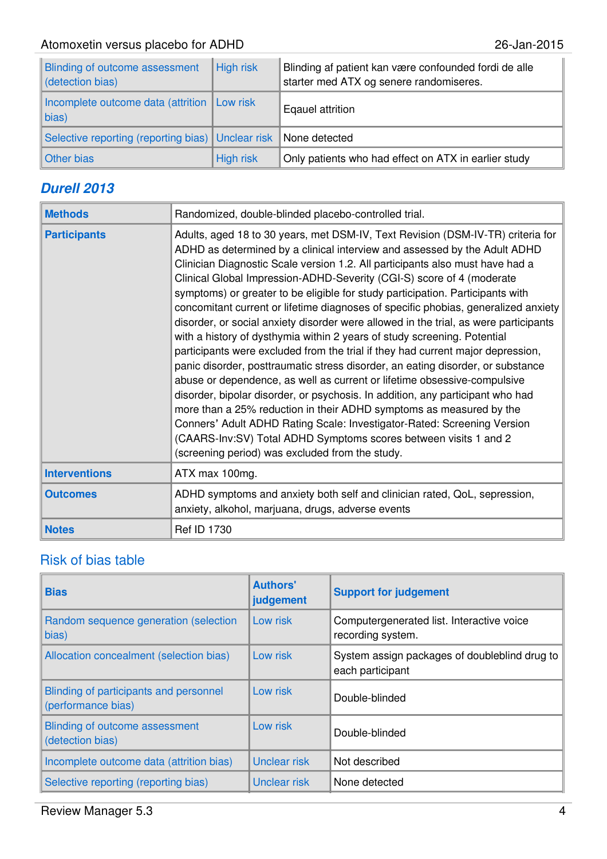| Blinding of outcome assessment<br>detection bias)           | <b>High risk</b> | Blinding af patient kan være confounded fordi de alle<br>starter med ATX og senere randomiseres. |
|-------------------------------------------------------------|------------------|--------------------------------------------------------------------------------------------------|
| Incomplete outcome data (attrition   Low risk<br>$\ $ bias) |                  | Eqauel attrition                                                                                 |
| Selective reporting (reporting bias)   Unclear risk         |                  | None detected                                                                                    |
| Other bias                                                  | High risk        | Only patients who had effect on ATX in earlier study                                             |

#### **Durell 2013**

| <b>Methods</b>       | Randomized, double-blinded placebo-controlled trial.                                                                                                                                                                                                                                                                                                                                                                                                                                                                                                                                                                                                                                                                                                                                                                                                                                                                                                                                                                                                                                                                                                                                                                                                                            |  |  |
|----------------------|---------------------------------------------------------------------------------------------------------------------------------------------------------------------------------------------------------------------------------------------------------------------------------------------------------------------------------------------------------------------------------------------------------------------------------------------------------------------------------------------------------------------------------------------------------------------------------------------------------------------------------------------------------------------------------------------------------------------------------------------------------------------------------------------------------------------------------------------------------------------------------------------------------------------------------------------------------------------------------------------------------------------------------------------------------------------------------------------------------------------------------------------------------------------------------------------------------------------------------------------------------------------------------|--|--|
| <b>Participants</b>  | Adults, aged 18 to 30 years, met DSM-IV, Text Revision (DSM-IV-TR) criteria for<br>ADHD as determined by a clinical interview and assessed by the Adult ADHD<br>Clinician Diagnostic Scale version 1.2. All participants also must have had a<br>Clinical Global Impression-ADHD-Severity (CGI-S) score of 4 (moderate<br>symptoms) or greater to be eligible for study participation. Participants with<br>concomitant current or lifetime diagnoses of specific phobias, generalized anxiety<br>disorder, or social anxiety disorder were allowed in the trial, as were participants<br>with a history of dysthymia within 2 years of study screening. Potential<br>participants were excluded from the trial if they had current major depression,<br>panic disorder, posttraumatic stress disorder, an eating disorder, or substance<br>abuse or dependence, as well as current or lifetime obsessive-compulsive<br>disorder, bipolar disorder, or psychosis. In addition, any participant who had<br>more than a 25% reduction in their ADHD symptoms as measured by the<br>Conners' Adult ADHD Rating Scale: Investigator-Rated: Screening Version<br>(CAARS-Inv:SV) Total ADHD Symptoms scores between visits 1 and 2<br>(screening period) was excluded from the study. |  |  |
| <b>Interventions</b> | ATX max 100mg.                                                                                                                                                                                                                                                                                                                                                                                                                                                                                                                                                                                                                                                                                                                                                                                                                                                                                                                                                                                                                                                                                                                                                                                                                                                                  |  |  |
| <b>Outcomes</b>      | ADHD symptoms and anxiety both self and clinician rated, QoL, sepression,<br>anxiety, alkohol, marjuana, drugs, adverse events                                                                                                                                                                                                                                                                                                                                                                                                                                                                                                                                                                                                                                                                                                                                                                                                                                                                                                                                                                                                                                                                                                                                                  |  |  |
| <b>Notes</b>         | <b>Ref ID 1730</b>                                                                                                                                                                                                                                                                                                                                                                                                                                                                                                                                                                                                                                                                                                                                                                                                                                                                                                                                                                                                                                                                                                                                                                                                                                                              |  |  |

| <b>Bias</b>                                                  | <b>Authors'</b><br>judgement | <b>Support for judgement</b>                                      |
|--------------------------------------------------------------|------------------------------|-------------------------------------------------------------------|
| Random sequence generation (selection<br>bias)               | Low risk                     | Computergenerated list. Interactive voice<br>recording system.    |
| Allocation concealment (selection bias)                      | Low risk                     | System assign packages of doubleblind drug to<br>each participant |
| Blinding of participants and personnel<br>(performance bias) | Low risk                     | Double-blinded                                                    |
| Blinding of outcome assessment<br>(detection bias)           | Low risk                     | Double-blinded                                                    |
| Incomplete outcome data (attrition bias)                     | Unclear risk                 | Not described                                                     |
| Selective reporting (reporting bias)                         | Unclear risk                 | None detected                                                     |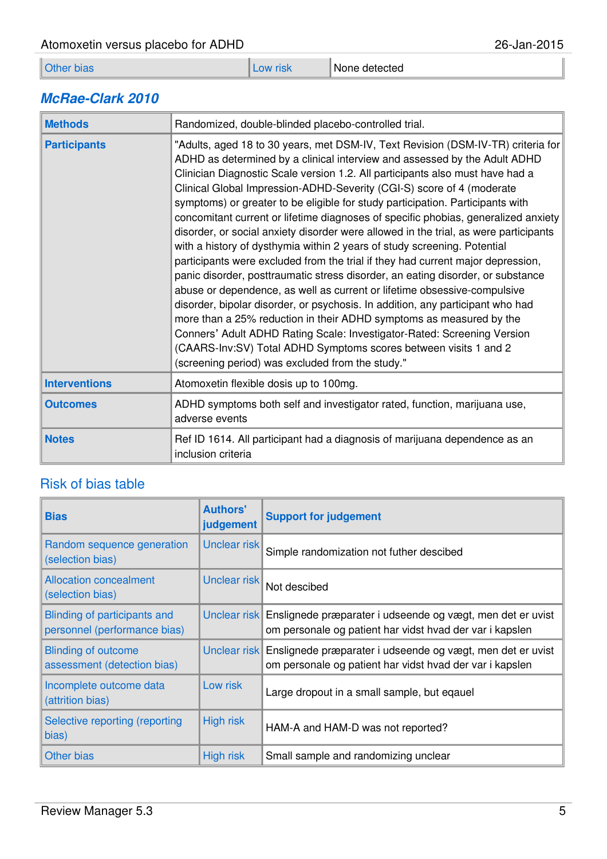| Atomoxetin versus placebo for ADHD | 26-Jan-2015 |                 |  |
|------------------------------------|-------------|-----------------|--|
| Other bias                         | Low risk    | l None detected |  |

#### **McRae-Clark 2010**

| <b>Methods</b>       | Randomized, double-blinded placebo-controlled trial.                                                                                                                                                                                                                                                                                                                                                                                                                                                                                                                                                                                                                                                                                                                                                                                                                                                                                                                                                                                                                                                                                                                                                                                                                              |
|----------------------|-----------------------------------------------------------------------------------------------------------------------------------------------------------------------------------------------------------------------------------------------------------------------------------------------------------------------------------------------------------------------------------------------------------------------------------------------------------------------------------------------------------------------------------------------------------------------------------------------------------------------------------------------------------------------------------------------------------------------------------------------------------------------------------------------------------------------------------------------------------------------------------------------------------------------------------------------------------------------------------------------------------------------------------------------------------------------------------------------------------------------------------------------------------------------------------------------------------------------------------------------------------------------------------|
| <b>Participants</b>  | "Adults, aged 18 to 30 years, met DSM-IV, Text Revision (DSM-IV-TR) criteria for<br>ADHD as determined by a clinical interview and assessed by the Adult ADHD<br>Clinician Diagnostic Scale version 1.2. All participants also must have had a<br>Clinical Global Impression-ADHD-Severity (CGI-S) score of 4 (moderate<br>symptoms) or greater to be eligible for study participation. Participants with<br>concomitant current or lifetime diagnoses of specific phobias, generalized anxiety<br>disorder, or social anxiety disorder were allowed in the trial, as were participants<br>with a history of dysthymia within 2 years of study screening. Potential<br>participants were excluded from the trial if they had current major depression,<br>panic disorder, posttraumatic stress disorder, an eating disorder, or substance<br>abuse or dependence, as well as current or lifetime obsessive-compulsive<br>disorder, bipolar disorder, or psychosis. In addition, any participant who had<br>more than a 25% reduction in their ADHD symptoms as measured by the<br>Conners' Adult ADHD Rating Scale: Investigator-Rated: Screening Version<br>(CAARS-Inv:SV) Total ADHD Symptoms scores between visits 1 and 2<br>(screening period) was excluded from the study." |
| <b>Interventions</b> | Atomoxetin flexible dosis up to 100mg.                                                                                                                                                                                                                                                                                                                                                                                                                                                                                                                                                                                                                                                                                                                                                                                                                                                                                                                                                                                                                                                                                                                                                                                                                                            |
| <b>Outcomes</b>      | ADHD symptoms both self and investigator rated, function, marijuana use,<br>adverse events                                                                                                                                                                                                                                                                                                                                                                                                                                                                                                                                                                                                                                                                                                                                                                                                                                                                                                                                                                                                                                                                                                                                                                                        |
| <b>Notes</b>         | Ref ID 1614. All participant had a diagnosis of marijuana dependence as an<br>inclusion criteria                                                                                                                                                                                                                                                                                                                                                                                                                                                                                                                                                                                                                                                                                                                                                                                                                                                                                                                                                                                                                                                                                                                                                                                  |

| <b>Bias</b>                                                  | <b>Authors'</b><br>judgement | <b>Support for judgement</b>                                                                                                        |
|--------------------------------------------------------------|------------------------------|-------------------------------------------------------------------------------------------------------------------------------------|
| Random sequence generation<br>(selection bias)               | Unclear risk                 | Simple randomization not futher descibed                                                                                            |
| <b>Allocation concealment</b><br>(selection bias)            | Unclear risk                 | Not descibed                                                                                                                        |
| Blinding of participants and<br>personnel (performance bias) |                              | Unclear risk Enslignede præparater i udseende og vægt, men det er uvist<br>om personale og patient har vidst hvad der var i kapslen |
| <b>Blinding of outcome</b><br>assessment (detection bias)    |                              | Unclear risk Enslignede præparater i udseende og vægt, men det er uvist<br>om personale og patient har vidst hvad der var i kapslen |
| Incomplete outcome data<br>(attrition bias)                  | Low risk                     | Large dropout in a small sample, but eqauel                                                                                         |
| Selective reporting (reporting<br>bias)                      | <b>High risk</b>             | HAM-A and HAM-D was not reported?                                                                                                   |
| Other bias                                                   | <b>High risk</b>             | Small sample and randomizing unclear                                                                                                |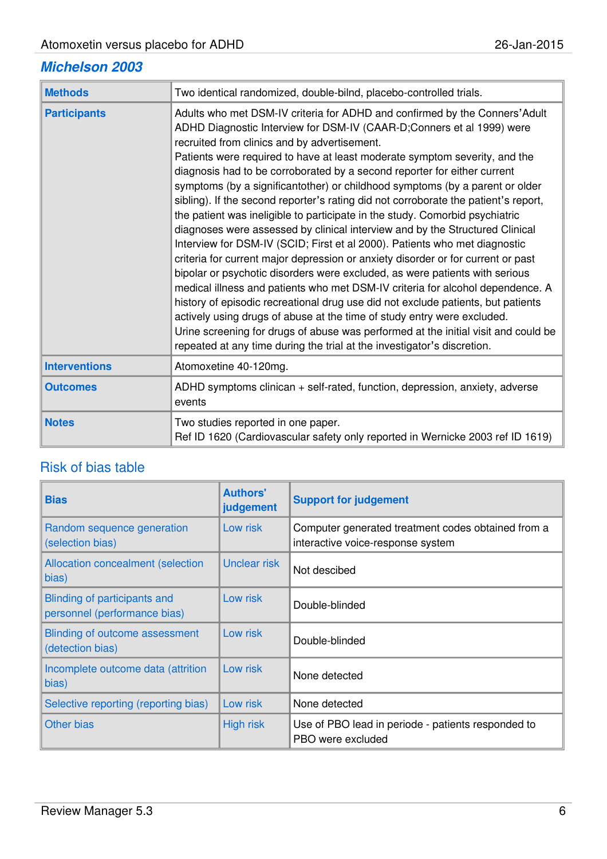#### **Michelson 2003**

| <b>Methods</b>       | Two identical randomized, double-bilnd, placebo-controlled trials.                                                                                                                                                                                                                                                                                                                                                                                                                                                                                                                                                                                                                                                                                                                                                                                                                                                                                                                                                                                                                                                                                                                                                                                                                                                                                                       |
|----------------------|--------------------------------------------------------------------------------------------------------------------------------------------------------------------------------------------------------------------------------------------------------------------------------------------------------------------------------------------------------------------------------------------------------------------------------------------------------------------------------------------------------------------------------------------------------------------------------------------------------------------------------------------------------------------------------------------------------------------------------------------------------------------------------------------------------------------------------------------------------------------------------------------------------------------------------------------------------------------------------------------------------------------------------------------------------------------------------------------------------------------------------------------------------------------------------------------------------------------------------------------------------------------------------------------------------------------------------------------------------------------------|
| <b>Participants</b>  | Adults who met DSM-IV criteria for ADHD and confirmed by the Conners' Adult<br>ADHD Diagnostic Interview for DSM-IV (CAAR-D;Conners et al 1999) were<br>recruited from clinics and by advertisement.<br>Patients were required to have at least moderate symptom severity, and the<br>diagnosis had to be corroborated by a second reporter for either current<br>symptoms (by a significantother) or childhood symptoms (by a parent or older<br>sibling). If the second reporter's rating did not corroborate the patient's report,<br>the patient was ineligible to participate in the study. Comorbid psychiatric<br>diagnoses were assessed by clinical interview and by the Structured Clinical<br>Interview for DSM-IV (SCID; First et al 2000). Patients who met diagnostic<br>criteria for current major depression or anxiety disorder or for current or past<br>bipolar or psychotic disorders were excluded, as were patients with serious<br>medical illness and patients who met DSM-IV criteria for alcohol dependence. A<br>history of episodic recreational drug use did not exclude patients, but patients<br>actively using drugs of abuse at the time of study entry were excluded.<br>Urine screening for drugs of abuse was performed at the initial visit and could be<br>repeated at any time during the trial at the investigator's discretion. |
| <b>Interventions</b> | Atomoxetine 40-120mg.                                                                                                                                                                                                                                                                                                                                                                                                                                                                                                                                                                                                                                                                                                                                                                                                                                                                                                                                                                                                                                                                                                                                                                                                                                                                                                                                                    |
| <b>Outcomes</b>      | ADHD symptoms clinican + self-rated, function, depression, anxiety, adverse<br>events                                                                                                                                                                                                                                                                                                                                                                                                                                                                                                                                                                                                                                                                                                                                                                                                                                                                                                                                                                                                                                                                                                                                                                                                                                                                                    |
| <b>Notes</b>         | Two studies reported in one paper.<br>Ref ID 1620 (Cardiovascular safety only reported in Wernicke 2003 ref ID 1619)                                                                                                                                                                                                                                                                                                                                                                                                                                                                                                                                                                                                                                                                                                                                                                                                                                                                                                                                                                                                                                                                                                                                                                                                                                                     |

| <b>Bias</b>                                                  | <b>Authors'</b><br>judgement | <b>Support for judgement</b>                                                            |
|--------------------------------------------------------------|------------------------------|-----------------------------------------------------------------------------------------|
| Random sequence generation<br>(selection bias)               | Low risk                     | Computer generated treatment codes obtained from a<br>interactive voice-response system |
| <b>Allocation concealment (selection</b><br>bias)            | <b>Unclear risk</b>          | Not descibed                                                                            |
| Blinding of participants and<br>personnel (performance bias) | Low risk                     | Double-blinded                                                                          |
| Blinding of outcome assessment<br>(detection bias)           | Low risk                     | Double-blinded                                                                          |
| Incomplete outcome data (attrition<br>bias)                  | Low risk                     | None detected                                                                           |
| Selective reporting (reporting bias)                         | Low risk                     | None detected                                                                           |
| <b>Other bias</b>                                            | <b>High risk</b>             | Use of PBO lead in periode - patients responded to<br>PBO were excluded                 |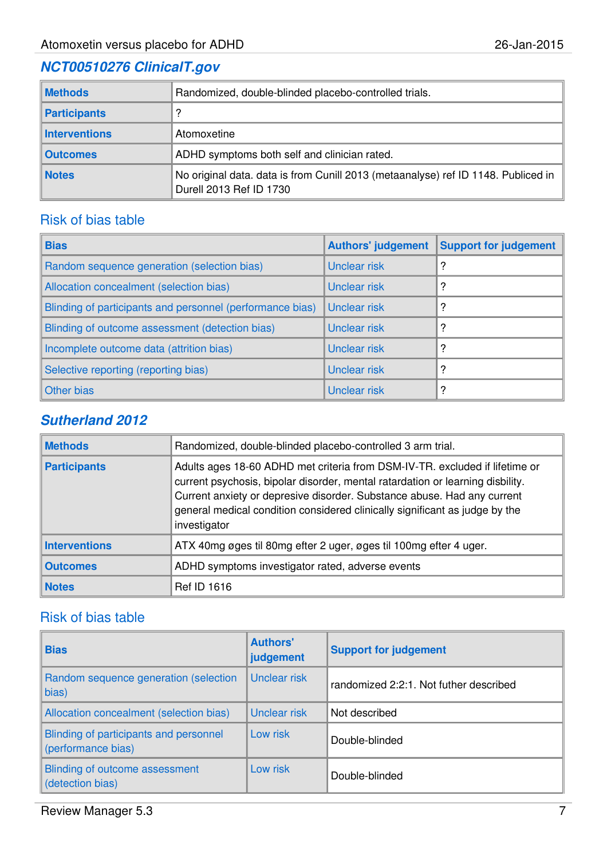#### **NCT00510276 ClinicalT.gov**

| <b>Methods</b>       | Randomized, double-blinded placebo-controlled trials.                                                        |
|----------------------|--------------------------------------------------------------------------------------------------------------|
| Participants         |                                                                                                              |
| <b>Interventions</b> | Atomoxetine                                                                                                  |
| <b>Outcomes</b>      | ADHD symptoms both self and clinician rated.                                                                 |
| <b>Notes</b>         | No original data. data is from Cunill 2013 (metaanalyse) ref ID 1148. Publiced in<br>Durell 2013 Ref ID 1730 |

#### Risk of bias table

| <b>Bias</b>                                               | <b>Authors' judgement</b> | <b>Support for judgement</b> |
|-----------------------------------------------------------|---------------------------|------------------------------|
| Random sequence generation (selection bias)               | <b>Unclear risk</b>       | ?                            |
| Allocation concealment (selection bias)                   | Unclear risk              | ?                            |
| Blinding of participants and personnel (performance bias) | <b>Unclear risk</b>       | ?                            |
| Blinding of outcome assessment (detection bias)           | Unclear risk              | ?                            |
| Incomplete outcome data (attrition bias)                  | Unclear risk              | ?                            |
| Selective reporting (reporting bias)                      | Unclear risk              | ?                            |
| Other bias                                                | <b>Unclear risk</b>       | 2                            |

#### **Sutherland 2012**

| <b>Methods</b>       | Randomized, double-blinded placebo-controlled 3 arm trial.                                                                                                                                                                                                                                                                              |
|----------------------|-----------------------------------------------------------------------------------------------------------------------------------------------------------------------------------------------------------------------------------------------------------------------------------------------------------------------------------------|
| <b>Participants</b>  | Adults ages 18-60 ADHD met criteria from DSM-IV-TR. excluded if lifetime or<br>current psychosis, bipolar disorder, mental ratardation or learning disbility.<br>Current anxiety or depresive disorder. Substance abuse. Had any current<br>general medical condition considered clinically significant as judge by the<br>investigator |
| <b>Interventions</b> | ATX 40mg øges til 80mg efter 2 uger, øges til 100mg efter 4 uger.                                                                                                                                                                                                                                                                       |
| <b>Outcomes</b>      | ADHD symptoms investigator rated, adverse events                                                                                                                                                                                                                                                                                        |
| <b>Notes</b>         | <b>Ref ID 1616</b>                                                                                                                                                                                                                                                                                                                      |

| <b>Bias</b>                                                  | <b>Authors'</b><br>judgement | <b>Support for judgement</b>           |
|--------------------------------------------------------------|------------------------------|----------------------------------------|
| Random sequence generation (selection<br>bias)               | Unclear risk                 | randomized 2:2:1. Not futher described |
| Allocation concealment (selection bias)                      | Unclear risk                 | Not described                          |
| Blinding of participants and personnel<br>(performance bias) | Low risk                     | Double-blinded                         |
| Blinding of outcome assessment<br>(detection bias)           | Low risk                     | Double-blinded                         |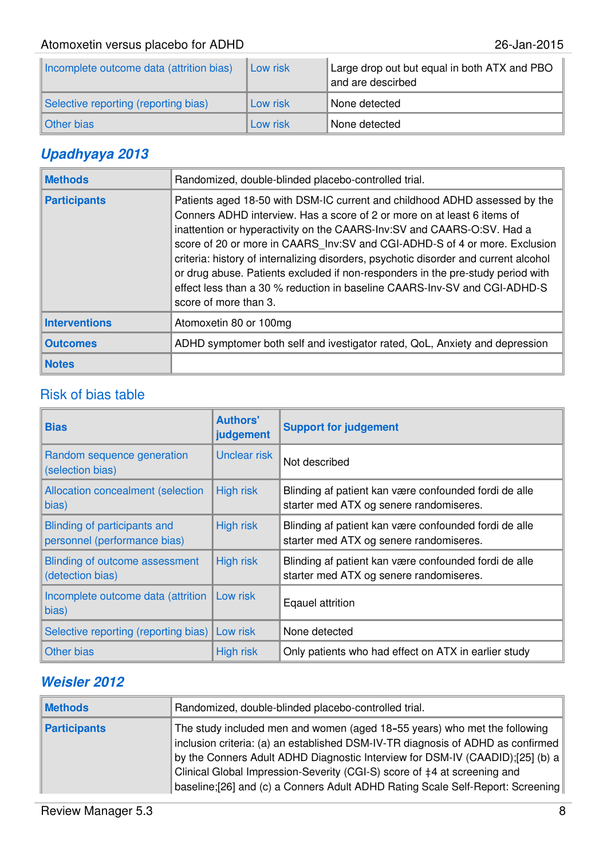| Incomplete outcome data (attrition bias) | Low risk | Large drop out but equal in both ATX and PBO<br>and are descirbed |
|------------------------------------------|----------|-------------------------------------------------------------------|
| Selective reporting (reporting bias)     | Low risk | None detected                                                     |
| Other bias                               | Low risk | None detected                                                     |

#### **Upadhyaya 2013**

| <b>Methods</b>       | Randomized, double-blinded placebo-controlled trial.                                                                                                                                                                                                                                                                                                                                                                                                                                                                                                                                            |
|----------------------|-------------------------------------------------------------------------------------------------------------------------------------------------------------------------------------------------------------------------------------------------------------------------------------------------------------------------------------------------------------------------------------------------------------------------------------------------------------------------------------------------------------------------------------------------------------------------------------------------|
| <b>Participants</b>  | Patients aged 18-50 with DSM-IC current and childhood ADHD assessed by the<br>Conners ADHD interview. Has a score of 2 or more on at least 6 items of<br>inattention or hyperactivity on the CAARS-Inv:SV and CAARS-O:SV. Had a<br>score of 20 or more in CAARS Inv: SV and CGI-ADHD-S of 4 or more. Exclusion<br>criteria: history of internalizing disorders, psychotic disorder and current alcohol<br>or drug abuse. Patients excluded if non-responders in the pre-study period with<br>effect less than a 30 % reduction in baseline CAARS-lnv-SV and CGI-ADHD-S<br>score of more than 3. |
| <b>Interventions</b> | Atomoxetin 80 or 100mg                                                                                                                                                                                                                                                                                                                                                                                                                                                                                                                                                                          |
| <b>Outcomes</b>      | ADHD symptomer both self and ivestigator rated, QoL, Anxiety and depression                                                                                                                                                                                                                                                                                                                                                                                                                                                                                                                     |
| <b>Notes</b>         |                                                                                                                                                                                                                                                                                                                                                                                                                                                                                                                                                                                                 |

#### Risk of bias table

| <b>Bias</b>                                                  | <b>Authors'</b><br>judgement | <b>Support for judgement</b>                                                                     |
|--------------------------------------------------------------|------------------------------|--------------------------------------------------------------------------------------------------|
| Random sequence generation<br>(selection bias)               | Unclear risk                 | Not described                                                                                    |
| Allocation concealment (selection<br>bias)                   | <b>High risk</b>             | Blinding af patient kan være confounded fordi de alle<br>starter med ATX og senere randomiseres. |
| Blinding of participants and<br>personnel (performance bias) | <b>High risk</b>             | Blinding af patient kan være confounded fordi de alle<br>starter med ATX og senere randomiseres. |
| Blinding of outcome assessment<br>(detection bias)           | <b>High risk</b>             | Blinding af patient kan være confounded fordi de alle<br>starter med ATX og senere randomiseres. |
| Incomplete outcome data (attrition<br>bias)                  | Low risk                     | Eqauel attrition                                                                                 |
| Selective reporting (reporting bias)                         | Low risk                     | None detected                                                                                    |
| Other bias                                                   | <b>High risk</b>             | Only patients who had effect on ATX in earlier study                                             |

#### **Weisler 2012**

| <b>Methods</b> | Randomized, double-blinded placebo-controlled trial.                                                                                                                                                                                                                                                                                                                                                        |
|----------------|-------------------------------------------------------------------------------------------------------------------------------------------------------------------------------------------------------------------------------------------------------------------------------------------------------------------------------------------------------------------------------------------------------------|
| Participants   | The study included men and women (aged 18-55 years) who met the following<br>inclusion criteria: (a) an established DSM-IV-TR diagnosis of ADHD as confirmed<br>by the Conners Adult ADHD Diagnostic Interview for DSM-IV (CAADID);[25] (b) a<br>Clinical Global Impression-Severity (CGI-S) score of #4 at screening and<br>baseline;[26] and (c) a Conners Adult ADHD Rating Scale Self-Report: Screening |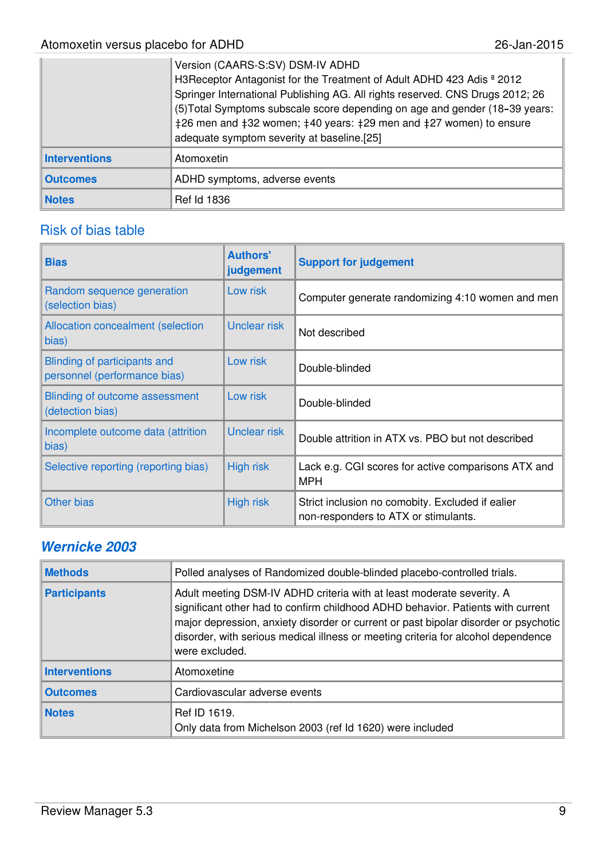|                      | Version (CAARS-S:SV) DSM-IV ADHD<br>H3Receptor Antagonist for the Treatment of Adult ADHD 423 Adis <sup>a</sup> 2012<br>Springer International Publishing AG. All rights reserved. CNS Drugs 2012; 26<br>(5) Total Symptoms subscale score depending on age and gender (18-39 years:<br>$\frac{1}{26}$ men and $\frac{1}{22}$ women; $\frac{1}{40}$ years: $\frac{1}{29}$ men and $\frac{1}{4}$ 27 women) to ensure<br>adequate symptom severity at baseline.[25] |
|----------------------|-------------------------------------------------------------------------------------------------------------------------------------------------------------------------------------------------------------------------------------------------------------------------------------------------------------------------------------------------------------------------------------------------------------------------------------------------------------------|
| <b>Interventions</b> | Atomoxetin                                                                                                                                                                                                                                                                                                                                                                                                                                                        |
| <b>Outcomes</b>      | ADHD symptoms, adverse events                                                                                                                                                                                                                                                                                                                                                                                                                                     |
| <b>Notes</b>         | <b>Ref Id 1836</b>                                                                                                                                                                                                                                                                                                                                                                                                                                                |

#### Risk of bias table

| <b>Bias</b>                                                  | <b>Authors'</b><br>judgement | <b>Support for judgement</b>                                                             |
|--------------------------------------------------------------|------------------------------|------------------------------------------------------------------------------------------|
| Random sequence generation<br>(selection bias)               | Low risk                     | Computer generate randomizing 4:10 women and men                                         |
| <b>Allocation concealment (selection</b><br>bias)            | <b>Unclear risk</b>          | Not described                                                                            |
| Blinding of participants and<br>personnel (performance bias) | Low risk                     | Double-blinded                                                                           |
| Blinding of outcome assessment<br>(detection bias)           | Low risk                     | Double-blinded                                                                           |
| Incomplete outcome data (attrition<br>bias)                  | Unclear risk                 | Double attrition in ATX vs. PBO but not described                                        |
| Selective reporting (reporting bias)                         | <b>High risk</b>             | Lack e.g. CGI scores for active comparisons ATX and<br><b>MPH</b>                        |
| Other bias                                                   | High risk                    | Strict inclusion no comobity. Excluded if ealier<br>non-responders to ATX or stimulants. |

#### **Wernicke 2003**

| <b>Methods</b>       | Polled analyses of Randomized double-blinded placebo-controlled trials.                                                                                                                                                                                                                                                                                |  |  |
|----------------------|--------------------------------------------------------------------------------------------------------------------------------------------------------------------------------------------------------------------------------------------------------------------------------------------------------------------------------------------------------|--|--|
| <b>Participants</b>  | Adult meeting DSM-IV ADHD criteria with at least moderate severity. A<br>significant other had to confirm childhood ADHD behavior. Patients with current<br>major depression, anxiety disorder or current or past bipolar disorder or psychotic<br>disorder, with serious medical illness or meeting criteria for alcohol dependence<br>were excluded. |  |  |
| <b>Interventions</b> | Atomoxetine                                                                                                                                                                                                                                                                                                                                            |  |  |
| <b>Outcomes</b>      | Cardiovascular adverse events                                                                                                                                                                                                                                                                                                                          |  |  |
| <b>Notes</b>         | Ref ID 1619.<br>Only data from Michelson 2003 (ref Id 1620) were included                                                                                                                                                                                                                                                                              |  |  |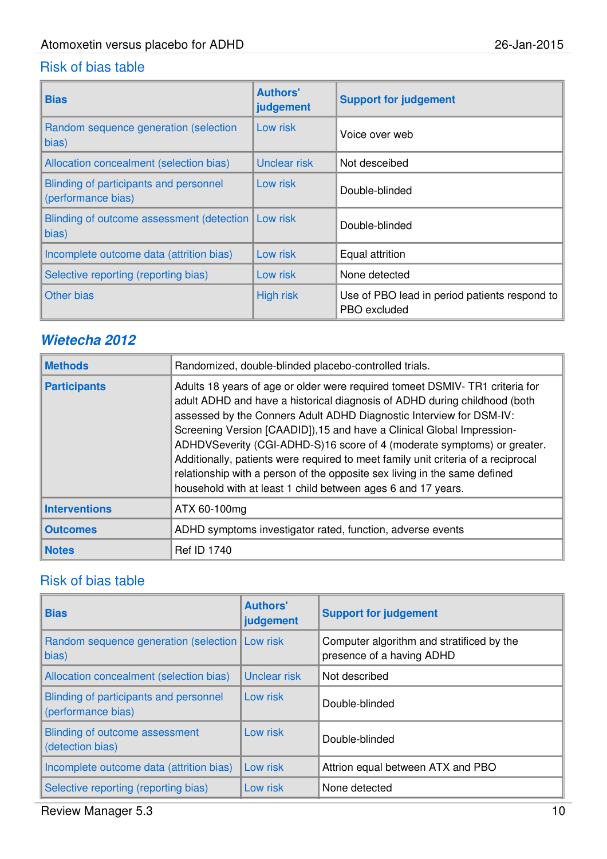#### Risk of bias table

| <b>Bias</b>                                                   | <b>Authors'</b><br>judgement | <b>Support for judgement</b>                                  |
|---------------------------------------------------------------|------------------------------|---------------------------------------------------------------|
| Random sequence generation (selection<br>bias)                | Low risk                     | Voice over web                                                |
| Allocation concealment (selection bias)                       | Unclear risk                 | Not desceibed                                                 |
| Blinding of participants and personnel<br>(performance bias)  | Low risk                     | Double-blinded                                                |
| Blinding of outcome assessment (detection   Low risk<br>bias) |                              | Double-blinded                                                |
| Incomplete outcome data (attrition bias)                      | Low risk                     | Equal attrition                                               |
| Selective reporting (reporting bias)                          | Low risk                     | None detected                                                 |
| Other bias                                                    | <b>High risk</b>             | Use of PBO lead in period patients respond to<br>PBO excluded |

#### **Wietecha 2012**

| <b>Methods</b>       | Randomized, double-blinded placebo-controlled trials.                                                                                                                                                                                                                                                                                                                                                                                                                                                                                                                                                                  |  |  |
|----------------------|------------------------------------------------------------------------------------------------------------------------------------------------------------------------------------------------------------------------------------------------------------------------------------------------------------------------------------------------------------------------------------------------------------------------------------------------------------------------------------------------------------------------------------------------------------------------------------------------------------------------|--|--|
| <b>Participants</b>  | Adults 18 years of age or older were required tomeet DSMIV-TR1 criteria for<br>adult ADHD and have a historical diagnosis of ADHD during childhood (both<br>assessed by the Conners Adult ADHD Diagnostic Interview for DSM-IV:<br>Screening Version [CAADID]), 15 and have a Clinical Global Impression-<br>ADHDVSeverity (CGI-ADHD-S)16 score of 4 (moderate symptoms) or greater.<br>Additionally, patients were required to meet family unit criteria of a reciprocal<br>relationship with a person of the opposite sex living in the same defined<br>household with at least 1 child between ages 6 and 17 years. |  |  |
| <b>Interventions</b> | ATX 60-100mg                                                                                                                                                                                                                                                                                                                                                                                                                                                                                                                                                                                                           |  |  |
| <b>Outcomes</b>      | ADHD symptoms investigator rated, function, adverse events                                                                                                                                                                                                                                                                                                                                                                                                                                                                                                                                                             |  |  |
| <b>Notes</b>         | <b>Ref ID 1740</b>                                                                                                                                                                                                                                                                                                                                                                                                                                                                                                                                                                                                     |  |  |

| <b>Bias</b>                                                  | <b>Authors'</b><br>judgement | <b>Support for judgement</b>                                           |
|--------------------------------------------------------------|------------------------------|------------------------------------------------------------------------|
| Random sequence generation (selection   Low risk<br>bias)    |                              | Computer algorithm and stratificed by the<br>presence of a having ADHD |
| Allocation concealment (selection bias)                      | <b>Unclear risk</b>          | Not described                                                          |
| Blinding of participants and personnel<br>(performance bias) | Low risk                     | Double-blinded                                                         |
| Blinding of outcome assessment<br>(detection bias)           | Low risk                     | Double-blinded                                                         |
| Incomplete outcome data (attrition bias)                     | Low risk                     | Attrion equal between ATX and PBO                                      |
| Selective reporting (reporting bias)                         | Low risk                     | None detected                                                          |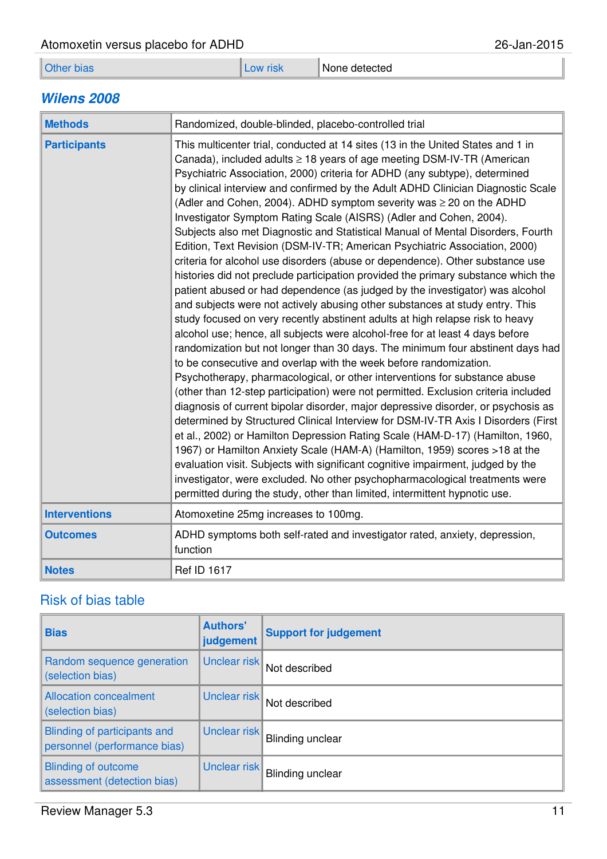| Atomoxetin versus placebo for ADHD |                   | 26-Jan-2015 |               |  |
|------------------------------------|-------------------|-------------|---------------|--|
|                                    | <b>Other bias</b> | Low risk    | None detected |  |

#### **Wilens 2008**

| <b>Methods</b>       | Randomized, double-blinded, placebo-controlled trial                                                                                                                                                                                                                                                                                                                                                                                                                                                                                                                                                                                                                                                                                                                                                                                                                                                                                                                                                                                                                                                                                                                                                                                                                                                                                                                                                                                                                                                                                                                                                                                                                                                                                                                                                                                                                                                                                                                                                                                                                             |  |  |
|----------------------|----------------------------------------------------------------------------------------------------------------------------------------------------------------------------------------------------------------------------------------------------------------------------------------------------------------------------------------------------------------------------------------------------------------------------------------------------------------------------------------------------------------------------------------------------------------------------------------------------------------------------------------------------------------------------------------------------------------------------------------------------------------------------------------------------------------------------------------------------------------------------------------------------------------------------------------------------------------------------------------------------------------------------------------------------------------------------------------------------------------------------------------------------------------------------------------------------------------------------------------------------------------------------------------------------------------------------------------------------------------------------------------------------------------------------------------------------------------------------------------------------------------------------------------------------------------------------------------------------------------------------------------------------------------------------------------------------------------------------------------------------------------------------------------------------------------------------------------------------------------------------------------------------------------------------------------------------------------------------------------------------------------------------------------------------------------------------------|--|--|
| <b>Participants</b>  | This multicenter trial, conducted at 14 sites (13 in the United States and 1 in<br>Canada), included adults $\geq$ 18 years of age meeting DSM-IV-TR (American<br>Psychiatric Association, 2000) criteria for ADHD (any subtype), determined<br>by clinical interview and confirmed by the Adult ADHD Clinician Diagnostic Scale<br>(Adler and Cohen, 2004). ADHD symptom severity was $\geq 20$ on the ADHD<br>Investigator Symptom Rating Scale (AISRS) (Adler and Cohen, 2004).<br>Subjects also met Diagnostic and Statistical Manual of Mental Disorders, Fourth<br>Edition, Text Revision (DSM-IV-TR; American Psychiatric Association, 2000)<br>criteria for alcohol use disorders (abuse or dependence). Other substance use<br>histories did not preclude participation provided the primary substance which the<br>patient abused or had dependence (as judged by the investigator) was alcohol<br>and subjects were not actively abusing other substances at study entry. This<br>study focused on very recently abstinent adults at high relapse risk to heavy<br>alcohol use; hence, all subjects were alcohol-free for at least 4 days before<br>randomization but not longer than 30 days. The minimum four abstinent days had<br>to be consecutive and overlap with the week before randomization.<br>Psychotherapy, pharmacological, or other interventions for substance abuse<br>(other than 12-step participation) were not permitted. Exclusion criteria included<br>diagnosis of current bipolar disorder, major depressive disorder, or psychosis as<br>determined by Structured Clinical Interview for DSM-IV-TR Axis I Disorders (First<br>et al., 2002) or Hamilton Depression Rating Scale (HAM-D-17) (Hamilton, 1960,<br>1967) or Hamilton Anxiety Scale (HAM-A) (Hamilton, 1959) scores > 18 at the<br>evaluation visit. Subjects with significant cognitive impairment, judged by the<br>investigator, were excluded. No other psychopharmacological treatments were<br>permitted during the study, other than limited, intermittent hypnotic use. |  |  |
| <b>Interventions</b> | Atomoxetine 25mg increases to 100mg.                                                                                                                                                                                                                                                                                                                                                                                                                                                                                                                                                                                                                                                                                                                                                                                                                                                                                                                                                                                                                                                                                                                                                                                                                                                                                                                                                                                                                                                                                                                                                                                                                                                                                                                                                                                                                                                                                                                                                                                                                                             |  |  |
| <b>Outcomes</b>      | ADHD symptoms both self-rated and investigator rated, anxiety, depression,<br>function                                                                                                                                                                                                                                                                                                                                                                                                                                                                                                                                                                                                                                                                                                                                                                                                                                                                                                                                                                                                                                                                                                                                                                                                                                                                                                                                                                                                                                                                                                                                                                                                                                                                                                                                                                                                                                                                                                                                                                                           |  |  |
| <b>Notes</b>         | <b>Ref ID 1617</b>                                                                                                                                                                                                                                                                                                                                                                                                                                                                                                                                                                                                                                                                                                                                                                                                                                                                                                                                                                                                                                                                                                                                                                                                                                                                                                                                                                                                                                                                                                                                                                                                                                                                                                                                                                                                                                                                                                                                                                                                                                                               |  |  |

| <b>Bias</b>                                                  | <b>Authors'</b><br>judgement | <b>Support for judgement</b> |
|--------------------------------------------------------------|------------------------------|------------------------------|
| Random sequence generation<br>(selection bias)               | Unclear risk                 | Not described                |
| <b>Allocation concealment</b><br>(selection bias)            | Unclear risk                 | Not described                |
| Blinding of participants and<br>personnel (performance bias) | Unclear risk                 | <b>Blinding unclear</b>      |
| <b>Blinding of outcome</b><br>assessment (detection bias)    | Unclear risk                 | <b>Blinding unclear</b>      |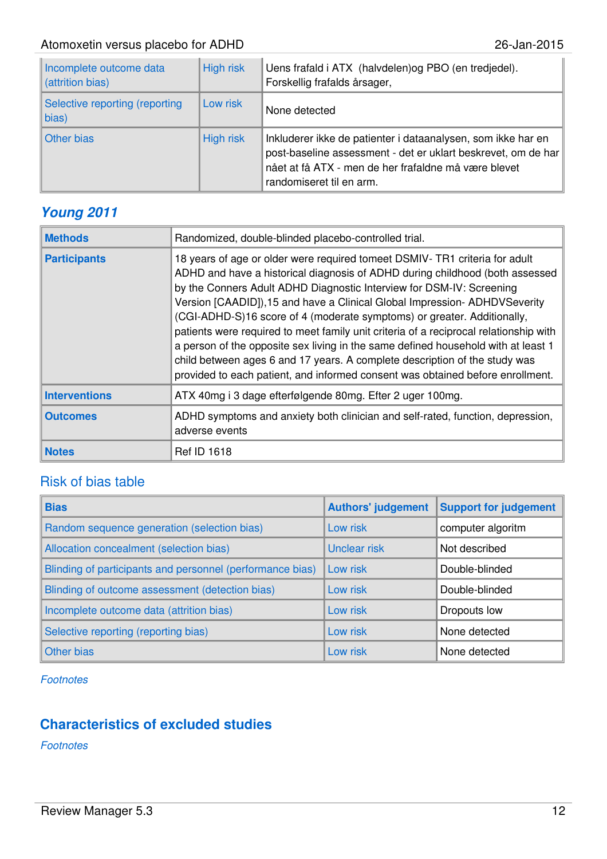| Incomplete outcome data<br>(attrition bias)     | <b>High risk</b> | Uens frafald i ATX (halvdelen) og PBO (en tredjedel).<br>Forskellig frafalds årsager,                                                                                                                             |
|-------------------------------------------------|------------------|-------------------------------------------------------------------------------------------------------------------------------------------------------------------------------------------------------------------|
| Selective reporting (reporting<br>$\vert$ bias) | Low risk         | None detected                                                                                                                                                                                                     |
| Other bias                                      | <b>High risk</b> | Inkluderer ikke de patienter i dataanalysen, som ikke har en<br>post-baseline assessment - det er uklart beskrevet, om de har<br>nået at få ATX - men de her frafaldne må være blevet<br>randomiseret til en arm. |

#### **Young 2011**

| <b>Methods</b>       | Randomized, double-blinded placebo-controlled trial.                                                                                                                                                                                                                                                                                                                                                                                                                                                                                                                                                                                                                                                                                       |
|----------------------|--------------------------------------------------------------------------------------------------------------------------------------------------------------------------------------------------------------------------------------------------------------------------------------------------------------------------------------------------------------------------------------------------------------------------------------------------------------------------------------------------------------------------------------------------------------------------------------------------------------------------------------------------------------------------------------------------------------------------------------------|
| <b>Participants</b>  | 18 years of age or older were required tomeet DSMIV- TR1 criteria for adult<br>ADHD and have a historical diagnosis of ADHD during childhood (both assessed<br>by the Conners Adult ADHD Diagnostic Interview for DSM-IV: Screening<br>Version [CAADID]), 15 and have a Clinical Global Impression- ADHDVSeverity<br>(CGI-ADHD-S)16 score of 4 (moderate symptoms) or greater. Additionally,<br>patients were required to meet family unit criteria of a reciprocal relationship with<br>a person of the opposite sex living in the same defined household with at least 1<br>child between ages 6 and 17 years. A complete description of the study was<br>provided to each patient, and informed consent was obtained before enrollment. |
| <b>Interventions</b> | ATX 40mg i 3 dage efterfølgende 80mg. Efter 2 uger 100mg.                                                                                                                                                                                                                                                                                                                                                                                                                                                                                                                                                                                                                                                                                  |
| <b>Outcomes</b>      | ADHD symptoms and anxiety both clinician and self-rated, function, depression,<br>adverse events                                                                                                                                                                                                                                                                                                                                                                                                                                                                                                                                                                                                                                           |
| <b>Notes</b>         | <b>Ref ID 1618</b>                                                                                                                                                                                                                                                                                                                                                                                                                                                                                                                                                                                                                                                                                                                         |

#### Risk of bias table

| <b>Bias</b>                                               | <b>Authors' judgement</b> | <b>Support for judgement</b> |
|-----------------------------------------------------------|---------------------------|------------------------------|
| Random sequence generation (selection bias)               | Low risk                  | computer algoritm            |
| Allocation concealment (selection bias)                   | <b>Unclear risk</b>       | Not described                |
| Blinding of participants and personnel (performance bias) | Low risk                  | Double-blinded               |
| Blinding of outcome assessment (detection bias)           | Low risk                  | Double-blinded               |
| Incomplete outcome data (attrition bias)                  | Low risk                  | Dropouts low                 |
| Selective reporting (reporting bias)                      | Low risk                  | None detected                |
| Other bias                                                | Low risk                  | None detected                |

**Footnotes** 

#### **Characteristics of excluded studies**

Footnotes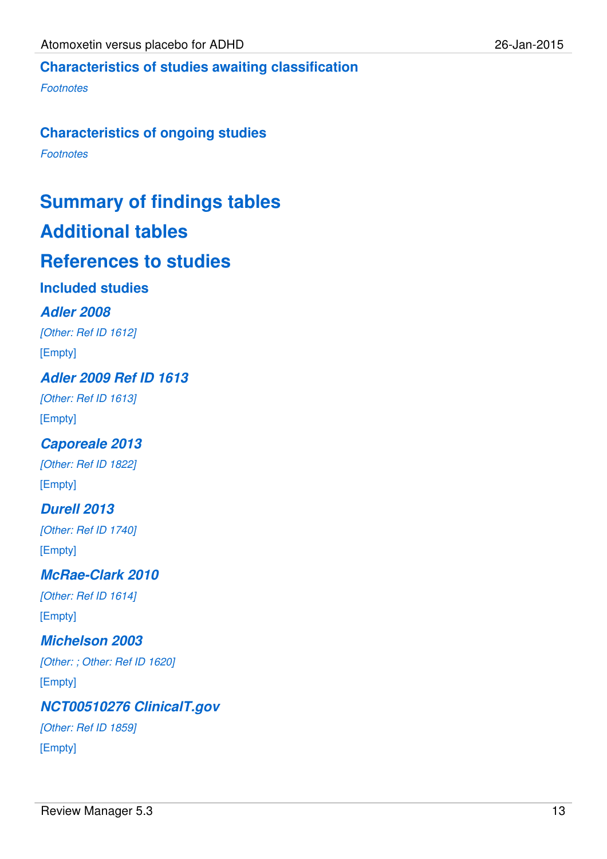### **Characteristics of studies awaiting classification**

**Footnotes** 

#### **Characteristics of ongoing studies**

**Footnotes** 

# **Summary of findings tables**

### **Additional tables**

### **References to studies**

#### **Included studies**

#### **Adler 2008**

[Other: Ref ID 1612] [Empty]

**Adler 2009 Ref ID 1613**

[Other: Ref ID 1613] [Empty]

#### **Caporeale 2013**

[Other: Ref ID 1822] [Empty]

#### **Durell 2013**

[Other: Ref ID 1740] [Empty]

#### **McRae-Clark 2010** [Other: Ref ID 1614] [Empty]

### **Michelson 2003** [Other: ; Other: Ref ID 1620]

[Empty]

# **NCT00510276 ClinicalT.gov**

[Other: Ref ID 1859] [Empty]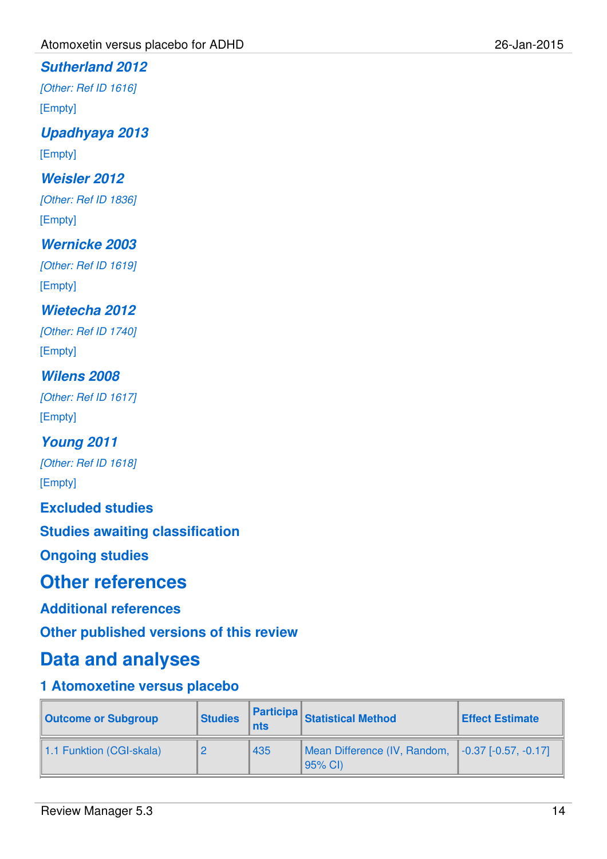#### **Sutherland 2012**

[Other: Ref ID 1616]

[Empty]

**Upadhyaya 2013**

[Empty]

#### **Weisler 2012**

[Other: Ref ID 1836] [Empty]

#### **Wernicke 2003**

[Other: Ref ID 1619] [Empty]

#### **Wietecha 2012**

[Other: Ref ID 1740] [Empty]

### **Wilens 2008**

[Other: Ref ID 1617] [Empty]

#### **Young 2011** [Other: Ref ID 1618]

[Empty]

**Excluded studies**

**Studies awaiting classification**

**Ongoing studies**

### **Other references**

**Additional references**

**Other published versions of this review**

#### **Data and analyses**

#### **1 Atomoxetine versus placebo**

| <b>Outcome or Subgroup</b> | <b>Studies</b> | <b>nts</b> | <b>Participa</b> Statistical Method                           | <b>Effect Estimate</b> |
|----------------------------|----------------|------------|---------------------------------------------------------------|------------------------|
| 1.1 Funktion (CGI-skala)   |                | 435        | Mean Difference (IV, Random, 1-0.37 [-0.57, -0.17]<br>95% CI) |                        |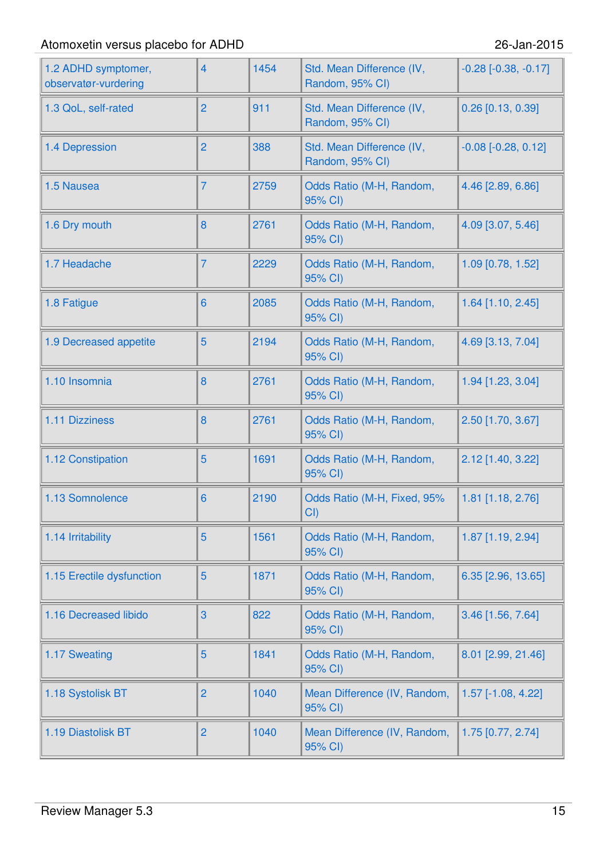| 1.2 ADHD symptomer,<br>observatør-vurdering | $\overline{4}$ | 1454 | Std. Mean Difference (IV,<br>Random, 95% CI) | $-0.28$ $[-0.38, -0.17]$ |
|---------------------------------------------|----------------|------|----------------------------------------------|--------------------------|
| 1.3 QoL, self-rated                         | $\overline{2}$ | 911  | Std. Mean Difference (IV,<br>Random, 95% CI) | $0.26$ [0.13, 0.39]      |
| 1.4 Depression                              | $\overline{2}$ | 388  | Std. Mean Difference (IV,<br>Random, 95% CI) | $-0.08$ $[-0.28, 0.12]$  |
| 1.5 Nausea                                  | 7              | 2759 | Odds Ratio (M-H, Random,<br>95% CI)          | 4.46 [2.89, 6.86]        |
| 1.6 Dry mouth                               | 8              | 2761 | Odds Ratio (M-H, Random,<br>95% CI)          | 4.09 [3.07, 5.46]        |
| 1.7 Headache                                | 7              | 2229 | Odds Ratio (M-H, Random,<br>95% CI)          | 1.09 [0.78, 1.52]        |
| 1.8 Fatigue                                 | $6\phantom{1}$ | 2085 | Odds Ratio (M-H, Random,<br>95% CI)          | 1.64 [1.10, 2.45]        |
| 1.9 Decreased appetite                      | 5              | 2194 | Odds Ratio (M-H, Random,<br>95% CI)          | 4.69 [3.13, 7.04]        |
| 1.10 Insomnia                               | 8              | 2761 | Odds Ratio (M-H, Random,<br>95% CI)          | 1.94 [1.23, 3.04]        |
| 1.11 Dizziness                              | 8              | 2761 | Odds Ratio (M-H, Random,<br>95% CI)          | 2.50 [1.70, 3.67]        |
| 1.12 Constipation                           | 5              | 1691 | Odds Ratio (M-H, Random,<br>95% CI)          | 2.12 [1.40, 3.22]        |
| 1.13 Somnolence                             | 6              | 2190 | Odds Ratio (M-H, Fixed, 95%<br>CI()          | 1.81 [1.18, 2.76]        |
| 1.14 Irritability                           | 5              | 1561 | Odds Ratio (M-H, Random,<br>95% CI)          | 1.87 [1.19, 2.94]        |
| 1.15 Erectile dysfunction                   | 5              | 1871 | Odds Ratio (M-H, Random,<br>95% CI)          | 6.35 [2.96, 13.65]       |
| 1.16 Decreased libido                       | 3              | 822  | Odds Ratio (M-H, Random,<br>95% CI)          | 3.46 [1.56, 7.64]        |
| 1.17 Sweating                               | 5              | 1841 | Odds Ratio (M-H, Random,<br>95% CI)          | 8.01 [2.99, 21.46]       |
| 1.18 Systolisk BT                           | $\overline{2}$ | 1040 | Mean Difference (IV, Random,<br>95% CI)      | 1.57 [-1.08, 4.22]       |
| 1.19 Diastolisk BT                          | $\overline{c}$ | 1040 | Mean Difference (IV, Random,<br>95% CI)      | 1.75 [0.77, 2.74]        |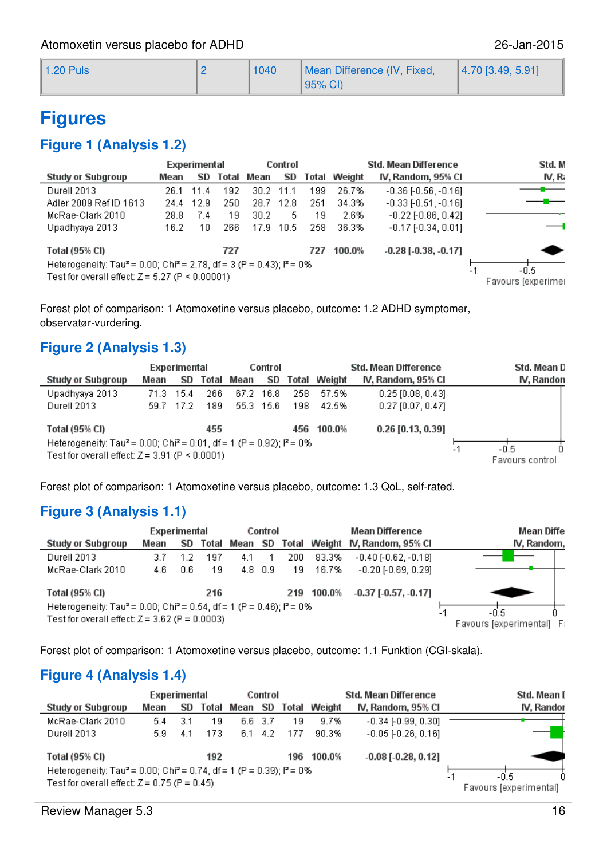| $\parallel$ 1.20 Puls | 1040 | Mean Difference (IV, Fixed, | $[4.70$ [3.49, 5.91] |
|-----------------------|------|-----------------------------|----------------------|
|                       |      | 95% CI)                     |                      |

### **Figures**

#### **Figure 1 (Analysis 1.2)**

|                                                                                                                                                    |      | Experimental |       | Control           |         |     |              | Std. Mean Difference          | Std. M                             |
|----------------------------------------------------------------------------------------------------------------------------------------------------|------|--------------|-------|-------------------|---------|-----|--------------|-------------------------------|------------------------------------|
| <b>Study or Subgroup</b>                                                                                                                           | Mean | SD.          | Total | Mean              | SD      |     | Total Weight | IV, Random, 95% CI            | IV, Ra                             |
| Durell 2013                                                                                                                                        | 26.1 | 11.4         | 192   | 30.2 <sub>1</sub> | $-11.1$ | 199 | 26.7%        | $-0.36$ [ $-0.56$ , $-0.16$ ] |                                    |
| Adler 2009 Ref ID 1613                                                                                                                             | 24.4 | 12.9         | 250   | 28.7              | -12.8   | 251 | 34.3%        | $-0.33$ [ $-0.51$ , $-0.16$ ] |                                    |
| McRae-Clark 2010                                                                                                                                   | 28.8 | 7.4          | 19    | 30.2              | 5.      | 19  | 2.6%         | $-0.22$ [ $-0.86$ , $0.42$ ]  |                                    |
| Upadhyaya 2013                                                                                                                                     | 16.2 | 10           | 266   | 17.9              | -10.5   | 258 | 36.3%        | $-0.17[-0.34, 0.01]$          |                                    |
| Total (95% CI)                                                                                                                                     |      |              | 727   |                   |         | 727 | 100.0%       | $-0.28$ [ $-0.38$ , $-0.17$ ] |                                    |
| Heterogeneity: Tau <sup>2</sup> = 0.00; Chi <sup>2</sup> = 2.78, df = 3 (P = 0.43); $P = 0\%$<br>Test for overall effect: $Z = 5.27$ (P < 0.00001) |      |              |       |                   |         |     |              |                               | -0.5<br>$-1$<br>Favours [experimer |

Forest plot of comparison: 1 Atomoxetine versus placebo, outcome: 1.2 ADHD symptomer, observatør-vurdering.

#### **Figure 2 (Analysis 1.3)**

|                                                                                                                                                             |       | Experimental |       | Control |           |       | Std. Mean Difference |                         |  | Std. Mean D |
|-------------------------------------------------------------------------------------------------------------------------------------------------------------|-------|--------------|-------|---------|-----------|-------|----------------------|-------------------------|--|-------------|
| Study or Subgroup                                                                                                                                           | Mean  | SD           | Total | Mean    | SD.       | Total | Weight               | IV, Random, 95% Cl      |  | IV, Randon  |
| Upadhyaya 2013                                                                                                                                              | 71.3. | - 15.4       | 266   |         | 67.2 16.8 | 258   | 57.5%                | $0.25$ [0.08, 0.43]     |  |             |
| Durell 2013                                                                                                                                                 |       | 59.7 17.2    | 189   |         | 55.3 15.6 | 198   | 42.5%                | $0.27$ [0.07, 0.47]     |  |             |
| Total (95% CI)                                                                                                                                              |       |              | 455   |         |           | 456   | 100.0%               | 0.26 [0.13, 0.39]       |  |             |
| Heterogeneity: Tau <sup>2</sup> = 0.00; Chi <sup>2</sup> = 0.01, df = 1 (P = 0.92); l <sup>2</sup> = 0%<br>Test for overall effect: $Z = 3.91$ (P < 0.0001) |       |              |       |         |           |       |                      | -0.5<br>Favours control |  |             |

Forest plot of comparison: 1 Atomoxetine versus placebo, outcome: 1.3 QoL, self-rated.

#### **Figure 3 (Analysis 1.1)**

|                                                                                               | Experimental |     |       |      | Control         |     |              | <b>Mean Difference</b>     | Mean Diffe               |
|-----------------------------------------------------------------------------------------------|--------------|-----|-------|------|-----------------|-----|--------------|----------------------------|--------------------------|
| <b>Study or Subgroup</b>                                                                      | Mean         | SD  | Total | Mean | SD              |     | Total Weight | IV, Random, 95% Cl         | IV, Random,              |
| Durell 2013                                                                                   | 3.7          |     | 197   | 4.1  |                 | 200 | 83.3%        | $-0.40$ $[-0.62, -0.18]$   |                          |
| McRae-Clark 2010                                                                              | 4.6.         | 0.6 | -19   |      | $4.8 \quad 0.9$ | 19  | 16.7%        | $-0.20$ $[-0.69, 0.29]$    |                          |
| Total (95% CI)                                                                                |              |     | 216   |      |                 |     | 219 100.0%   | $-0.37$ [ $-0.57, -0.17$ ] |                          |
| Heterogeneity: Tau <sup>2</sup> = 0.00; Chi <sup>2</sup> = 0.54, df = 1 (P = 0.46); $P = 0\%$ | -0.5         |     |       |      |                 |     |              |                            |                          |
| Test for overall effect: $Z = 3.62$ (P = 0.0003)                                              |              |     |       |      |                 |     |              |                            | Favours lexperimentall F |

Forest plot of comparison: 1 Atomoxetine versus placebo, outcome: 1.1 Funktion (CGI-skala).

#### **Figure 4 (Analysis 1.4)**

|                                                                                               | Experimental |     |       | Control |                 |     |              | <b>Std. Mean Difference</b>  | Std. Mean I            |
|-----------------------------------------------------------------------------------------------|--------------|-----|-------|---------|-----------------|-----|--------------|------------------------------|------------------------|
| Study or Subgroup                                                                             | Mean         | SD  | Total | Mean    | SD              |     | Total Weight | IV, Random, 95% Cl           | IV, Randor             |
| McRae-Clark 2010                                                                              | 5.4          | 3.1 | 19    | 6.6 3.7 |                 | 19  | 9.7%         | $-0.34$ [ $-0.99, 0.30$ ]    |                        |
| Durell 2013                                                                                   | 5.9          | 4.1 | 173   |         | $6.1 \quad 4.2$ | 177 | 90.3%        | $-0.05$ [ $-0.26$ , $0.16$ ] |                        |
| Total (95% CI)                                                                                |              |     | 192   |         |                 | 196 | 100.0%       | $-0.08$ [ $-0.28$ , 0.12]    |                        |
| Heterogeneity: Tau <sup>2</sup> = 0.00; Chi <sup>2</sup> = 0.74, df = 1 (P = 0.39); $P = 0\%$ | -0.5<br>-    |     |       |         |                 |     |              |                              |                        |
| Test for overall effect: $Z = 0.75$ (P = 0.45)                                                |              |     |       |         |                 |     |              |                              | Favours [experimental] |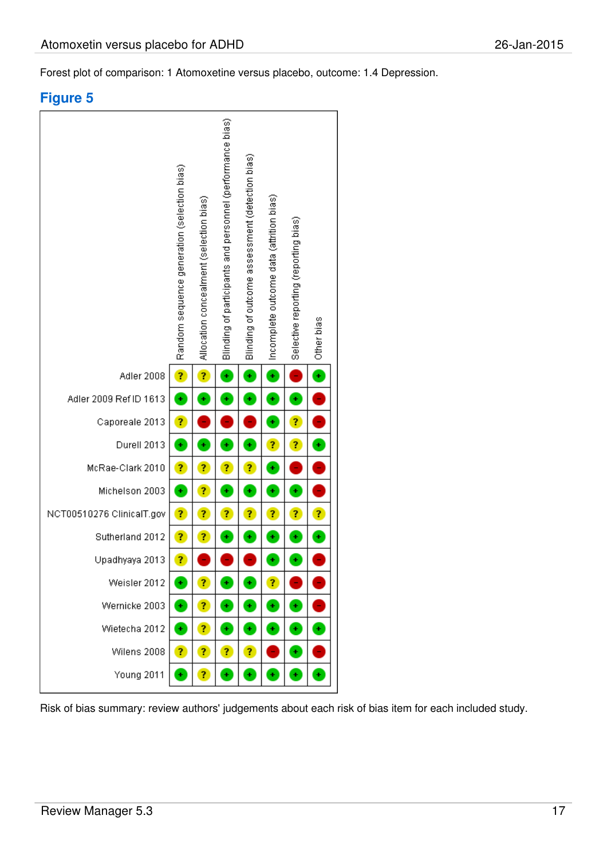Forest plot of comparison: 1 Atomoxetine versus placebo, outcome: 1.4 Depression.

#### **Figure 5**



Risk of bias summary: review authors' judgements about each risk of bias item for each included study.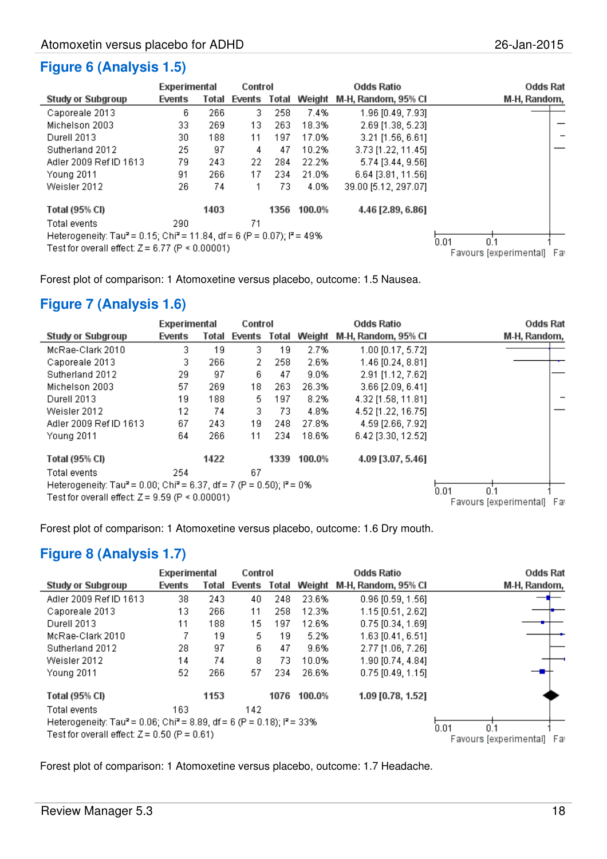#### **Figure 6 (Analysis 1.5)**

|                                                                                                           | Experimental |       | Control      |      |        | <b>Odds Ratio</b>    | Odds Rat                      |
|-----------------------------------------------------------------------------------------------------------|--------------|-------|--------------|------|--------|----------------------|-------------------------------|
| Study or Subgroup                                                                                         | Events       | Total | Events Total |      | Weight | M-H, Random, 95% CI  | M-H, Random,                  |
| Caporeale 2013                                                                                            | 6.           | 266   | З.           | 258  | 7.4%   | 1.96 [0.49, 7.93]    |                               |
| Michelson 2003                                                                                            | 33           | 269   | 13           | 263  | 18.3%  | 2.69 [1.38, 5.23]    |                               |
| Durell 2013                                                                                               | 30           | 188   | 11           | 197  | 17.0%  | $3.21$ [1.56, 6.61]  |                               |
| Sutherland 2012                                                                                           | 25           | 97    | 4            | 47   | 10.2%  | 3.73 [1.22, 11.45]   |                               |
| Adler 2009 Ref ID 1613                                                                                    | 79           | 243   | 22           | 284  | 22.2%  | 5.74 [3.44, 9.56]    |                               |
| <b>Young 2011</b>                                                                                         | 91           | 266   | 17           | 234  | 21.0%  | 6.64 [3.81, 11.56]   |                               |
| Weisler 2012                                                                                              | 26           | 74    |              | 73   | 4.0%   | 39.00 [5.12, 297.07] |                               |
| Total (95% CI)                                                                                            |              | 1403  |              | 1356 | 100.0% | 4.46 [2.89, 6.86]    |                               |
| Total events                                                                                              | 290          |       | 71           |      |        |                      |                               |
| Heterogeneity: Tau <sup>2</sup> = 0.15; Chi <sup>2</sup> = 11.84, df = 6 (P = 0.07); l <sup>2</sup> = 49% |              |       |              |      |        |                      | 0.01<br>n 1                   |
| Test for overall effect: $Z = 6.77$ (P $\leq 0.00001$ )                                                   |              |       |              |      |        |                      | Favours [experimental]<br>Far |

Forest plot of comparison: 1 Atomoxetine versus placebo, outcome: 1.5 Nausea.

#### **Figure 7 (Analysis 1.6)**

|                                                                                               | Experimental |       | Control      |      |        | <b>Odds Ratio</b>   | Odds Rat                      |
|-----------------------------------------------------------------------------------------------|--------------|-------|--------------|------|--------|---------------------|-------------------------------|
| Study or Subgroup                                                                             | Events       | Total | Events Total |      | Weight | M-H, Random, 95% CI | M-H, Random,                  |
| McRae-Clark 2010                                                                              | З.           | 19    | 3            | 19   | 2.7%   | 1.00 [0.17, 5.72]   |                               |
| Caporeale 2013                                                                                | 3.           | 266   | 2.           | 258  | 2.6%   | 1.46 [0.24, 8.81]   |                               |
| Sutherland 2012                                                                               | 29           | 97    | 6.           | 47   | 9.0%   | 2.91 [1.12, 7.62]   |                               |
| Michelson 2003                                                                                | 57           | 269   | 18           | 263  | 26.3%  | 3.66 [2.09, 6.41]   |                               |
| Durell 2013                                                                                   | 19           | 188   | 5.           | 197  | 8.2%   | 4.32 [1.58, 11.81]  |                               |
| Weisler 2012                                                                                  | 12           | 74    | 3.           | 73.  | 4.8%   | 4.52 [1.22, 16.75]  |                               |
| Adler 2009 Ref ID 1613                                                                        | 67           | 243   | 19           | 248  | 27.8%  | 4.59 [2.66, 7.92]   |                               |
| Young 2011                                                                                    | 64           | 266   | 11           | 234  | 18.6%  | 6.42 [3.30, 12.52]  |                               |
| Total (95% CI)                                                                                |              | 1422  |              | 1339 | 100.0% | 4.09 [3.07, 5.46]   |                               |
| Total events                                                                                  | 254          |       | 67           |      |        |                     |                               |
| Heterogeneity: Tau <sup>2</sup> = 0.00; Chi <sup>2</sup> = 6.37, df = 7 (P = 0.50); $P = 0\%$ |              |       |              |      |        |                     | 0.01<br>0.1                   |
| Test for overall effect: $Z = 9.59$ (P $\leq 0.00001$ )                                       |              |       |              |      |        |                     | Favours [experimental]<br>Far |

Forest plot of comparison: 1 Atomoxetine versus placebo, outcome: 1.6 Dry mouth.

#### **Figure 8 (Analysis 1.7)**

|                                                                                                          | Experimental |       | Control      |      |        | <b>Odds Ratio</b>          | <b>Odds Rat</b>               |
|----------------------------------------------------------------------------------------------------------|--------------|-------|--------------|------|--------|----------------------------|-------------------------------|
| Study or Subgroup                                                                                        | Events       | Total | Events Total |      |        | Weight M-H, Random, 95% CI | M-H, Random,                  |
| Adler 2009 Ref ID 1613                                                                                   | 38           | 243   | 40           | 248  | 23.6%  | $0.96$ [0.59, 1.56]        |                               |
| Caporeale 2013                                                                                           | 13           | 266   | 11           | 258  | 12.3%  | 1.15 [0.51, 2.62]          |                               |
| Durell 2013                                                                                              | 11           | 188   | 15.          | 197  | 12.6%  | $0.75$ [0.34, 1.69]        |                               |
| McRae-Clark 2010                                                                                         | 7            | 19    | 5.           | 19   | 5.2%   | 1.63 [0.41, 6.51]          |                               |
| Sutherland 2012                                                                                          | 28.          | 97    | 6.           | 47   | 9.6%   | 2.77 [1.06, 7.26]          |                               |
| Weisler 2012                                                                                             | 14           | 74    | 8            | 73   | 10.0%  | 1.90 [0.74, 4.84]          |                               |
| Young 2011                                                                                               | 52           | 266   | 57           | 234  | 26.6%  | $0.75$ [0.49, 1.15]        |                               |
| Total (95% CI)                                                                                           |              | 1153  |              | 1076 | 100.0% | 1.09 [0.78, 1.52]          |                               |
| Total events                                                                                             | 163          |       | 142          |      |        |                            |                               |
| Heterogeneity: Tau <sup>2</sup> = 0.06; Chi <sup>2</sup> = 8.89, df = 6 (P = 0.18); l <sup>2</sup> = 33% |              |       |              |      |        |                            | 0.01<br>0.1                   |
| Test for overall effect: $Z = 0.50$ (P = 0.61)                                                           |              |       |              |      |        |                            | Favours [experimental]<br>Far |

Forest plot of comparison: 1 Atomoxetine versus placebo, outcome: 1.7 Headache.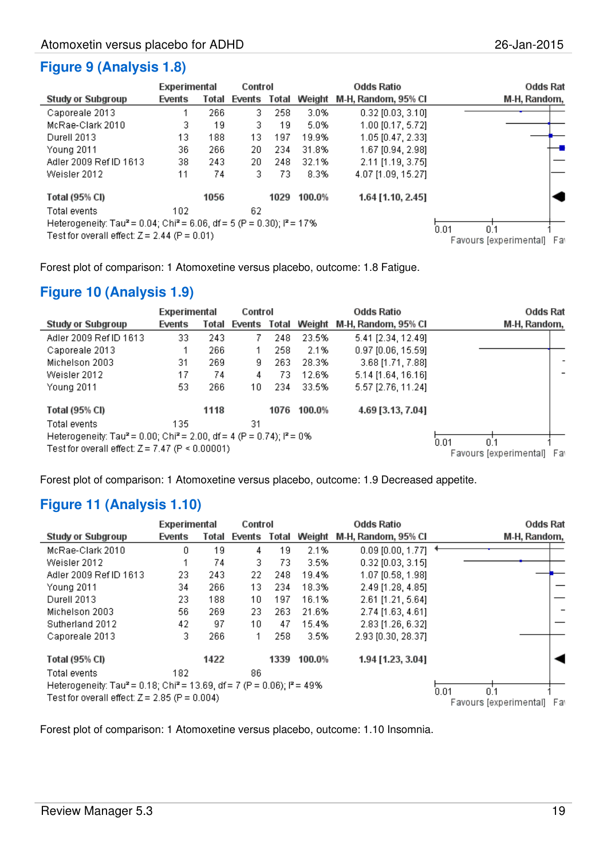#### **Figure 9 (Analysis 1.8)**

|                                                                                                                                                  | Experimental |       | Control      |      |        | <b>Odds Ratio</b>   | <b>Odds Rat</b>        |     |
|--------------------------------------------------------------------------------------------------------------------------------------------------|--------------|-------|--------------|------|--------|---------------------|------------------------|-----|
| Study or Subgroup                                                                                                                                | Events       | Total | Events Total |      | Weight | M-H, Random, 95% CI | M-H, Random,           |     |
| Caporeale 2013                                                                                                                                   |              | 266   | З.           | 258  | 3.0%   | $0.32$ [0.03, 3.10] |                        |     |
| McRae-Clark 2010                                                                                                                                 | 3.           | 19    | 3.           | 19.  | 5.0%   | $1.00$ [0.17, 5.72] |                        |     |
| Durell 2013                                                                                                                                      | 13.          | 188   | 13           | 197  | 19.9%  | 1.05 [0.47, 2.33]   |                        |     |
| Young 2011                                                                                                                                       | 36.          | 266   | 20           | 234  | 31.8%  | 1.67 [0.94, 2.98]   |                        |     |
| Adler 2009 Ref ID 1613                                                                                                                           | 38           | 243   | 20.          | 248  | 32.1%  | 2.11 [1.19, 3.75]   |                        |     |
| Weisler 2012                                                                                                                                     | 11           | 74    | 3            | 73   | 8.3%   | 4.07 [1.09, 15.27]  |                        |     |
| Total (95% CI)                                                                                                                                   |              | 1056  |              | 1029 | 100.0% | 1.64 [1.10, 2.45]   |                        |     |
| Total events                                                                                                                                     | 102          |       | 62           |      |        |                     |                        |     |
| Heterogeneity: Tau <sup>2</sup> = 0.04; Chi <sup>2</sup> = 6.06, df = 5 (P = 0.30); $P = 17\%$<br>Test for overall effect: $Z = 2.44$ (P = 0.01) | 0.01<br>0.1  |       |              |      |        |                     |                        |     |
|                                                                                                                                                  |              |       |              |      |        |                     | Favours [experimental] | Far |

Forest plot of comparison: 1 Atomoxetine versus placebo, outcome: 1.8 Fatigue.

#### **Figure 10 (Analysis 1.9)**

|                                                                                                         | Experimental                  |       | Control      |      |        | <b>Odds Ratio</b>    | <b>Odds Rat</b> |
|---------------------------------------------------------------------------------------------------------|-------------------------------|-------|--------------|------|--------|----------------------|-----------------|
| <b>Study or Subgroup</b>                                                                                | Events                        | Total | Events Total |      | Weight | M-H, Random, 95% Cl  | M-H, Random,    |
| Adler 2009 Ref ID 1613                                                                                  | 33                            | 243   |              | 248  | 23.5%  | 5.41 [2.34, 12.49]   |                 |
| Caporeale 2013                                                                                          |                               | 266   |              | 258  | 2.1%   | $0.97$ [0.06, 15.59] |                 |
| Michelson 2003                                                                                          | 31                            | 269   | g            | 263  | 28.3%  | $3.68$ [1.71, 7.88]  |                 |
| Weisler 2012                                                                                            | 17                            | 74    | 4            | 73.  | 12.6%  | 5.14 [1.64, 16.16]   |                 |
| Young 2011                                                                                              | 53                            | 266   | 10           | 234  | 33.5%  | 5.57 [2.76, 11.24]   |                 |
| Total (95% CI)                                                                                          |                               | 1118  |              | 1076 | 100.0% | 4.69 [3.13, 7.04]    |                 |
| Total events                                                                                            | 135.                          |       | 31           |      |        |                      |                 |
| Heterogeneity: Tau <sup>2</sup> = 0.00; Chi <sup>2</sup> = 2.00, df = 4 (P = 0.74); l <sup>2</sup> = 0% | 0.01<br>0.1                   |       |              |      |        |                      |                 |
| Test for overall effect: $Z = 7.47$ (P < 0.00001)                                                       | Favours [experimental]<br>Far |       |              |      |        |                      |                 |

Forest plot of comparison: 1 Atomoxetine versus placebo, outcome: 1.9 Decreased appetite.

#### **Figure 11 (Analysis 1.10)**

|                                                                                                           | Experimental<br><b>Odds Ratio</b><br>Control |             |              |      |        |                     | <b>Odds Rat</b>               |
|-----------------------------------------------------------------------------------------------------------|----------------------------------------------|-------------|--------------|------|--------|---------------------|-------------------------------|
| <b>Study or Subgroup</b>                                                                                  | Events                                       | Total       | Events Total |      | Weight | M-H, Random, 95% Cl | M-H, Random,                  |
| McRae-Clark 2010                                                                                          | 0                                            | 19          | 4            | 19   | 2.1%   | $0.09$ [0.00, 1.77] |                               |
| Weisler 2012                                                                                              |                                              | 74          | 3            | 73   | 3.5%   | $0.32$ [0.03, 3.15] |                               |
| Adler 2009 Ref ID 1613                                                                                    | 23                                           | 243         | 22.          | 248  | 19.4%  | 1.07 [0.58, 1.98]   |                               |
| Young 2011                                                                                                | 34                                           | 266         | 13           | 234  | 18.3%  | 2.49 [1.28, 4.85]   |                               |
| Durell 2013                                                                                               | 23.                                          | 188         | 10           | 197  | 16.1%  | 2.61 [1.21, 5.64]   |                               |
| Michelson 2003                                                                                            | 56                                           | 269         | 23           | 263  | 21.6%  | 2.74 [1.63, 4.61]   |                               |
| Sutherland 2012                                                                                           | 42                                           | 97          | 10           | 47   | 15.4%  | 2.83 [1.26, 6.32]   |                               |
| Caporeale 2013                                                                                            | 3                                            | 266         |              | 258  | 3.5%   | 2.93 [0.30, 28.37]  |                               |
| Total (95% CI)                                                                                            |                                              | 1422        |              | 1339 | 100.0% | 1.94 [1.23, 3.04]   |                               |
| Total events                                                                                              | 182                                          |             | 86           |      |        |                     |                               |
| Heterogeneity: Tau <sup>2</sup> = 0.18; Chi <sup>2</sup> = 13.69, df = 7 (P = 0.06); l <sup>2</sup> = 49% |                                              | 0.01<br>0.1 |              |      |        |                     |                               |
| Test for overall effect: $Z = 2.85$ (P = 0.004)                                                           |                                              |             |              |      |        |                     | Favours [experimental]<br>Far |

Forest plot of comparison: 1 Atomoxetine versus placebo, outcome: 1.10 Insomnia.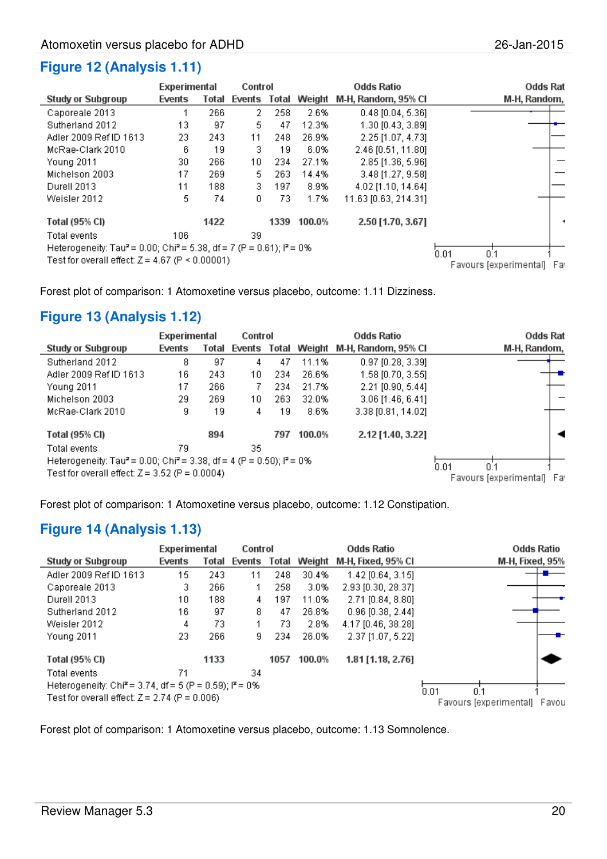|                                                                                                                                                                                    | Experimental |       | Control      |      |        | <b>Odds Ratio</b>    | <b>Odds Rat</b>        |     |
|------------------------------------------------------------------------------------------------------------------------------------------------------------------------------------|--------------|-------|--------------|------|--------|----------------------|------------------------|-----|
| <b>Study or Subgroup</b>                                                                                                                                                           | Events       | Total | Events Total |      | Weight | M-H, Random, 95% CI  | M-H, Random,           |     |
| Caporeale 2013                                                                                                                                                                     | 1            | 266   | 2.           | 258  | 2.6%   | $0.48$ [0.04, 5.36]  |                        |     |
| Sutherland 2012                                                                                                                                                                    | 13           | 97    | 5            | 47   | 12.3%  | 1.30 [0.43, 3.89]    |                        |     |
| Adler 2009 Ref ID 1613                                                                                                                                                             | 23.          | 243   | 11           | 248  | 26.9%  | 2.25 [1.07, 4.73]    |                        |     |
| McRae-Clark 2010                                                                                                                                                                   | 6            | 19    | 3            | 19   | 6.0%   | 2.46 [0.51, 11.80]   |                        |     |
| <b>Young 2011</b>                                                                                                                                                                  | 30           | 266   | 10           | 234  | 27.1%  | 2.85 [1.36, 5.96]    |                        |     |
| Michelson 2003                                                                                                                                                                     | 17           | 269   | 5            | 263  | 14.4%  | 3.48 [1.27, 9.58]    |                        |     |
| Durell 2013                                                                                                                                                                        | 11           | 188   | з.           | 197  | 8.9%   | 4.02 [1.10, 14.64]   |                        |     |
| Weisler 2012                                                                                                                                                                       | 5.           | 74    | ٥            | 73   | 1.7%   | 11.63 [0.63, 214.31] |                        |     |
| Total (95% CI)                                                                                                                                                                     |              | 1422  |              | 1339 | 100.0% | 2.50 [1.70, 3.67]    |                        |     |
| Total events<br>Heterogeneity: Tau <sup>2</sup> = 0.00; Chi <sup>2</sup> = 5.38, df = 7 (P = 0.61); l <sup>2</sup> = 0%<br>Test for overall effect: $Z = 4.67$ (P $\leq 0.00001$ ) | 0.01<br>0.1  |       |              |      |        |                      |                        |     |
|                                                                                                                                                                                    |              |       |              |      |        |                      | Favours [experimental] | Far |

Forest plot of comparison: 1 Atomoxetine versus placebo, outcome: 1.11 Dizziness.

#### **Figure 13 (Analysis 1.12)**

|                                                                                               | Experimental |       |        | Odds Ratio<br>Control |        |                     | <b>Odds Rat</b>        |     |
|-----------------------------------------------------------------------------------------------|--------------|-------|--------|-----------------------|--------|---------------------|------------------------|-----|
| Study or Subgroup                                                                             | Events       | Total | Events | Total                 | Weight | M-H, Random, 95% Cl | M-H, Random,           |     |
| Sutherland 2012                                                                               | 8            | 97    | 4      | 47                    | 11.1%  | $0.97$ [0.28, 3.39] |                        |     |
| Adler 2009 Ref ID 1613                                                                        | 16           | 243   | 10.    | 234                   | 26.6%  | 1.58 [0.70, 3.55]   |                        |     |
| Young 2011                                                                                    | 17           | 266   | 7.     | 234                   | 21.7%  | $2.21$ [0.90, 5.44] |                        |     |
| Michelson 2003                                                                                | 29           | 269   | 10.    | 263                   | 32.0%  | $3.06$ [1.46, 6.41] |                        |     |
| McRae-Clark 2010                                                                              | 9            | 19    | 4      | 19                    | 8.6%   | 3.38 [0.81, 14.02]  |                        |     |
| Total (95% CI)                                                                                |              | 894   |        | 797                   | 100.0% | 2.12 [1.40, 3.22]   |                        |     |
| Total events                                                                                  | 79           |       | 35     |                       |        |                     |                        |     |
| Heterogeneity: Tau <sup>2</sup> = 0.00; Chi <sup>2</sup> = 3.38, df = 4 (P = 0.50); $P = 0\%$ | 0.01<br>0.1  |       |        |                       |        |                     |                        |     |
| Test for overall effect: $Z = 3.52$ (P = 0.0004)                                              |              |       |        |                       |        |                     | Favours (experimental) | Far |

Forest plot of comparison: 1 Atomoxetine versus placebo, outcome: 1.12 Constipation.

#### **Figure 14 (Analysis 1.13)**

|                                                                       | Experimental |       | Control      |      |        | <b>Odds Ratio</b>   | <b>Odds Ratio</b>               |  |
|-----------------------------------------------------------------------|--------------|-------|--------------|------|--------|---------------------|---------------------------------|--|
| Study or Subgroup                                                     | Events       | Total | Events Total |      | Weight | M-H, Fixed, 95% Cl  | <b>M-H, Fixed, 95%</b>          |  |
| Adler 2009 Ref ID 1613                                                | 15           | 243   | 11           | 248  | 30.4%  | $1.42$ [0.64, 3.15] |                                 |  |
| Caporeale 2013                                                        | з.           | 266   |              | 258  | 3.0%   | 2.93 [0.30, 28.37]  |                                 |  |
| Durell 2013                                                           | 10           | 188   | 4            | 197  | 11.0%  | 2.71 [0.84, 8.80]   |                                 |  |
| Sutherland 2012                                                       | 16           | 97    | 8.           | 47   | 26.8%  | $0.96$ [0.38, 2.44] |                                 |  |
| Weisler 2012                                                          | 4            | 73    |              | 73.  | 2.8%   | 4.17 [0.46, 38.28]  |                                 |  |
| Young 2011                                                            | 23.          | 266   | 9            | 234  | 26.0%  | 2.37 [1.07, 5.22]   |                                 |  |
| Total (95% CI)                                                        |              | 1133  |              | 1057 | 100.0% | 1.81 [1.18, 2.76]   |                                 |  |
| Total events                                                          | 71           |       | 34           |      |        |                     |                                 |  |
| Heterogeneity: Chi <sup>2</sup> = 3.74, df = 5 (P = 0.59); $I^2$ = 0% |              |       |              |      |        |                     | 0.01<br>0.1                     |  |
| Test for overall effect: $Z = 2.74$ (P = 0.006)                       |              |       |              |      |        |                     | Favours [experimental]<br>Favou |  |

Forest plot of comparison: 1 Atomoxetine versus placebo, outcome: 1.13 Somnolence.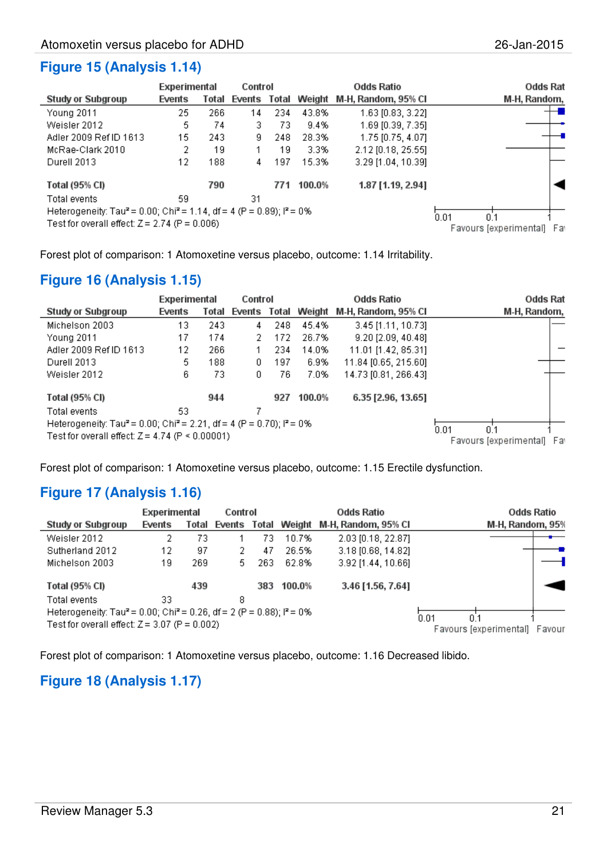#### **Figure 15 (Analysis 1.14)**

|                                                                                                         | Experimental |       | Control<br>Odds Ratio |     |        | Odds Rat            |                               |
|---------------------------------------------------------------------------------------------------------|--------------|-------|-----------------------|-----|--------|---------------------|-------------------------------|
| Study or Subgroup                                                                                       | Events       | Total | Events Total          |     | Weight | M-H, Random, 95% CI | M-H, Random,                  |
| Young 2011                                                                                              | 25           | 266   | 14                    | 234 | 43.8%  | 1.63 [0.83, 3.22]   |                               |
| Weisler 2012                                                                                            | 5.           | 74    | 3                     | 73  | 9.4%   | 1.69 [0.39, 7.35]   |                               |
| Adler 2009 Ref ID 1613                                                                                  | 15           | 243   | 9                     | 248 | 28.3%  | 1.75 [0.75, 4.07]   |                               |
| McRae-Clark 2010                                                                                        | 2            | 19    |                       | 19  | 3.3%   | 2.12 [0.18, 25.55]  |                               |
| Durell 2013                                                                                             | 12           | 188   | 4                     | 197 | 15.3%  | 3.29 [1.04, 10.39]  |                               |
| Total (95% CI)                                                                                          |              | 790   |                       | 771 | 100.0% | 1.87 [1.19, 2.94]   |                               |
| Total events                                                                                            | 59.          |       | 31                    |     |        |                     |                               |
| Heterogeneity: Tau <sup>2</sup> = 0.00; Chi <sup>2</sup> = 1.14, df = 4 (P = 0.89); l <sup>2</sup> = 0% | 0.01<br>0.1  |       |                       |     |        |                     |                               |
| Test for overall effect: $Z = 2.74$ (P = 0.006)                                                         |              |       |                       |     |        |                     | Favours [experimental]<br>Far |

Forest plot of comparison: 1 Atomoxetine versus placebo, outcome: 1.14 Irritability.

#### **Figure 16 (Analysis 1.15)**

|                                                                                                         | Experimental                  |       |              | Control<br><b>Odds Ratio</b> |        |                      | <b>Odds Rat</b> |
|---------------------------------------------------------------------------------------------------------|-------------------------------|-------|--------------|------------------------------|--------|----------------------|-----------------|
| <b>Study or Subgroup</b>                                                                                | Events                        | Total | Events Total |                              | Weight | M-H, Random, 95% Cl  | M-H, Random,    |
| Michelson 2003                                                                                          | 13                            | 243   | 4            | 248                          | 45.4%  | $3.45$ [1.11, 10.73] |                 |
| Young 2011                                                                                              | 17                            | 174   |              | 172                          | 26.7%  | 9.20 [2.09, 40.48]   |                 |
| Adler 2009 Ref ID 1613                                                                                  | 12                            | 266   |              | 234                          | 14.0%  | 11.01 [1.42, 85.31]  |                 |
| Durell 2013                                                                                             | 5.                            | 188   | 0.           | 197                          | 6.9%   | 11.84 [0.65, 215.60] |                 |
| Weisler 2012                                                                                            | 6                             | 73    | 0.           | 76                           | 7.0%   | 14.73 [0.81, 266.43] |                 |
| Total (95% CI)                                                                                          |                               | 944   |              | 927                          | 100.0% | 6.35 [2.96, 13.65]   |                 |
| Total events                                                                                            | 53                            |       |              |                              |        |                      |                 |
| Heterogeneity: Tau <sup>2</sup> = 0.00; Chi <sup>2</sup> = 2.21, df = 4 (P = 0.70); l <sup>2</sup> = 0% | 0.01<br>0.1                   |       |              |                              |        |                      |                 |
| Test for overall effect: $Z = 4.74$ (P $\leq 0.00001$ )                                                 | Favours (experimental)<br>Far |       |              |                              |        |                      |                 |

Forest plot of comparison: 1 Atomoxetine versus placebo, outcome: 1.15 Erectile dysfunction.

#### **Figure 17 (Analysis 1.16)**

|                                                                                               | Experimental |       | Control |     |        | Odds Ratio                              | Odds Ratio       |  |  |
|-----------------------------------------------------------------------------------------------|--------------|-------|---------|-----|--------|-----------------------------------------|------------------|--|--|
| Study or Subgroup                                                                             | Events       | Total |         |     |        | Events Total Weight M-H, Random, 95% CI | M-H, Random, 95% |  |  |
| Weisler 2012                                                                                  | 2            | 73    |         | 73  | 10.7%  | 2.03 [0.18, 22.87]                      |                  |  |  |
| Sutherland 2012                                                                               | 12           | 97    | 2       | 47  | 26.5%  | 3.18 [0.68, 14.82]                      |                  |  |  |
| Michelson 2003                                                                                | 19           | 269   | 5       | 263 | 62.8%  | 3.92 [1.44, 10.66]                      |                  |  |  |
| Total (95% CI)                                                                                |              | 439   |         | 383 | 100.0% | 3.46 [1.56, 7.64]                       |                  |  |  |
| Total events                                                                                  | 33           |       | 8       |     |        |                                         |                  |  |  |
| Heterogeneity: Tau <sup>2</sup> = 0.00; Chi <sup>2</sup> = 0.26, df = 2 (P = 0.88); $P = 0\%$ |              |       |         |     |        |                                         | 0.01<br>0.1      |  |  |
| Test for overall effect: $Z = 3.07$ (P = 0.002)                                               |              |       |         |     |        | Favours [experimental]<br>Favour        |                  |  |  |

Forest plot of comparison: 1 Atomoxetine versus placebo, outcome: 1.16 Decreased libido.

#### **Figure 18 (Analysis 1.17)**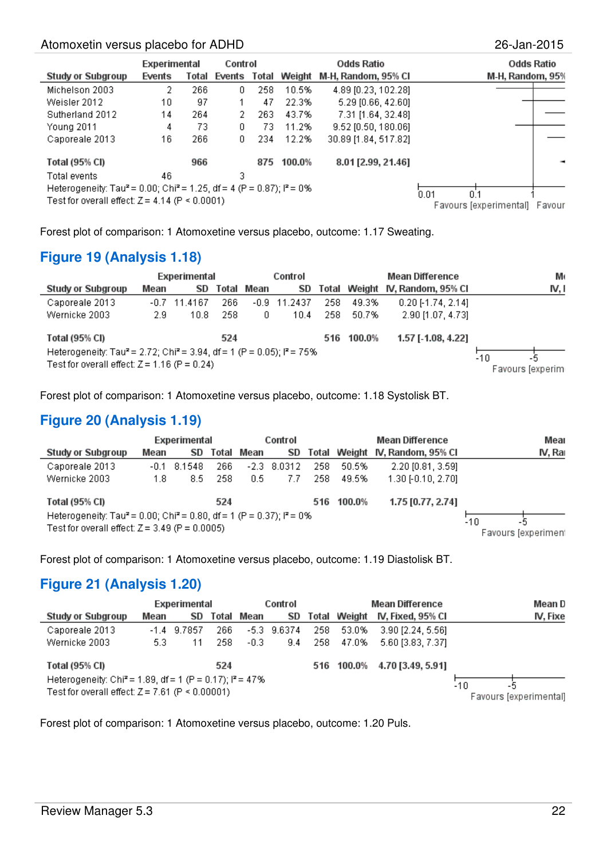#### Atomoxetin versus placebo for ADHD 26-Jan-2015

|                                                                                                         | Experimental |       | Control |       |        | <b>Odds Ratio</b>     | <b>Odds Ratio</b>                             |  |  |
|---------------------------------------------------------------------------------------------------------|--------------|-------|---------|-------|--------|-----------------------|-----------------------------------------------|--|--|
| <b>Study or Subgroup</b>                                                                                | Events       | Total | Events  | Total | Weight | M-H, Random, 95% CI   | M-H, Random, 95%                              |  |  |
| Michelson 2003                                                                                          | 2            | 266   | 0.      | 258   | 10.5%  | 4.89 [0.23, 102.28]   |                                               |  |  |
| Weisler 2012                                                                                            | 10           | 97    |         | 47    | 22.3%  | 5.29 [0.66, 42.60]    |                                               |  |  |
| Sutherland 2012                                                                                         | 14           | 264   | 2.      | 263   | 43.7%  | 7.31 [1.64, 32.48]    |                                               |  |  |
| Young 2011                                                                                              | 4            | 73    | 0.      | 73.   | 11.2%  | $9.52$ [0.50, 180.06] |                                               |  |  |
| Caporeale 2013                                                                                          | 16           | 266   | 0.      | 234   | 12.2%  | 30.89 [1.84, 517.82]  |                                               |  |  |
| Total (95% CI)                                                                                          |              | 966   |         | 875   | 100.0% | 8.01 [2.99, 21.46]    |                                               |  |  |
| Total events                                                                                            | 46           |       | 3       |       |        |                       |                                               |  |  |
| Heterogeneity: Tau <sup>2</sup> = 0.00; Chi <sup>2</sup> = 1.25, df = 4 (P = 0.87); l <sup>2</sup> = 0% |              |       |         |       |        |                       |                                               |  |  |
| Test for overall effect: $Z = 4.14$ (P < 0.0001)                                                        |              |       |         |       |        |                       | 0.01<br>fi 1<br>Favours (experimental) Favour |  |  |

Forest plot of comparison: 1 Atomoxetine versus placebo, outcome: 1.17 Sweating.

#### **Figure 19 (Analysis 1.18)**

|                                                                                                          |      | Experimental |       | Control |                |     |            | <b>Mean Difference</b>          | Mo               |
|----------------------------------------------------------------------------------------------------------|------|--------------|-------|---------|----------------|-----|------------|---------------------------------|------------------|
| <b>Study or Subgroup</b>                                                                                 | Mean | SD           | Total | Mean    | SD             |     |            | Total Weight IV, Random, 95% Cl | IV. I            |
| Caporeale 2013                                                                                           | -0.7 | 11.4167      | 266   |         | $-0.9$ 11.2437 | 258 | 49.3%      | $0.20$ [-1.74, 2.14]            |                  |
| Wernicke 2003                                                                                            | 2.9. | 10.8         | 258   | 0       | 10.4           | 258 | 50.7%      | 2.90 [1.07, 4.73]               |                  |
| Total (95% CI)                                                                                           |      |              | 524   |         |                |     | 516 100.0% | 1.57 [ 1.08, 4.22]              |                  |
| Heterogeneity: Tau <sup>2</sup> = 2.72; Chi <sup>2</sup> = 3.94, df = 1 (P = 0.05); i <sup>2</sup> = 75% |      |              |       |         |                |     |            |                                 | -10<br>-5        |
| Test for overall effect: $Z = 1.16$ (P = 0.24)                                                           |      |              |       |         |                |     |            |                                 | Favours (experim |

Forest plot of comparison: 1 Atomoxetine versus placebo, outcome: 1.18 Systolisk BT.

#### **Figure 20 (Analysis 1.19)**

|                                                                                                                                                             |      | Experimental |      | Control    |               |     |            | <b>Mean Difference</b>          | Mear                             |
|-------------------------------------------------------------------------------------------------------------------------------------------------------------|------|--------------|------|------------|---------------|-----|------------|---------------------------------|----------------------------------|
| Study or Subgroup                                                                                                                                           | Mean | SD           |      | Total Mean | SD            |     |            | Total Weight IV, Random, 95% Cl | IV. Rai                          |
| Caporeale 2013                                                                                                                                              | -0.1 | 8.1548       | 266. |            | $-2.3$ 8.0312 | 258 | 50.5%      | 2.20 [0.81, 3.59]               |                                  |
| Wernicke 2003                                                                                                                                               | 1.8  | 8.5.         | 258  | 0.5        | 7.7           | 258 | 49.5%      | 1.30 [-0.10, 2.70]              |                                  |
| Total (95% CI)                                                                                                                                              |      |              | 524  |            |               |     | 516 100.0% | 1.75 [0.77, 2.74]               |                                  |
| Heterogeneity: Tau <sup>2</sup> = 0.00; Chi <sup>2</sup> = 0.80, df = 1 (P = 0.37); i <sup>2</sup> = 0%<br>Test for overall effect: $Z = 3.49$ (P = 0.0005) |      |              |      |            |               |     |            |                                 | -10<br>-5<br>Favours [experiment |

Forest plot of comparison: 1 Atomoxetine versus placebo, outcome: 1.19 Diastolisk BT.

#### **Figure 21 (Analysis 1.20)**

|                                                                                                                            |      | Experimental  |      |            | Control       |     |              | <b>Mean Difference</b>       | Mean D                              |
|----------------------------------------------------------------------------------------------------------------------------|------|---------------|------|------------|---------------|-----|--------------|------------------------------|-------------------------------------|
| Study or Subgroup                                                                                                          | Mean | SD            |      | Total Mean | SD            |     | Total Weight | IV, Fixed, 95% Cl            | IV, Fixe                            |
| Caporeale 2013                                                                                                             |      | $-1.4$ 9.7857 | 266  |            | $-5.3$ 9.6374 | 258 | 53.0%        | 3.90 [2.24, 5.56]            |                                     |
| Wernicke 2003                                                                                                              | 5.3. | 11            | 258. | $-0.3$     | 9.4           | 258 | 47.0%        | 5.60 [3.83, 7.37]            |                                     |
| <b>Total (95% CI)</b>                                                                                                      |      |               | 524  |            |               |     |              | 516 100.0% 4.70 [3.49, 5.91] |                                     |
| Heterogeneity: Chi <sup>2</sup> = 1.89, df = 1 (P = 0.17); $P = 47\%$<br>Test for overall effect: $Z = 7.61$ (P < 0.00001) |      |               |      |            |               |     |              |                              | -10<br>-5<br>Favours [experimental] |

Forest plot of comparison: 1 Atomoxetine versus placebo, outcome: 1.20 Puls.